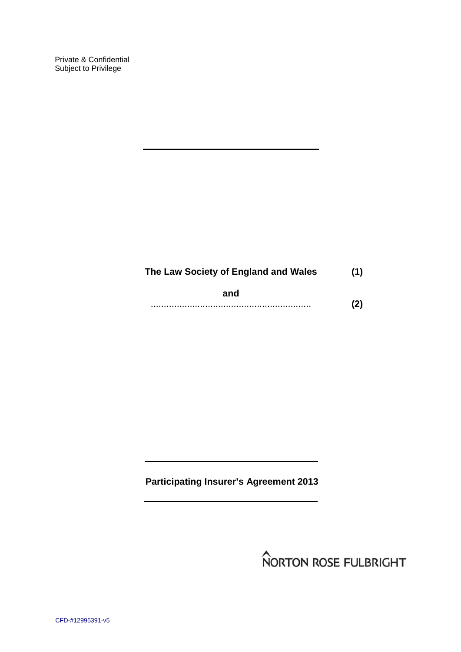Private & Confidential Subject to Privilege

# **The Law Society of England and Wales (1)**

**and**

.............................................................. **(2)**

**Participating Insurer's Agreement 2013**

NORTON ROSE FULBRIGHT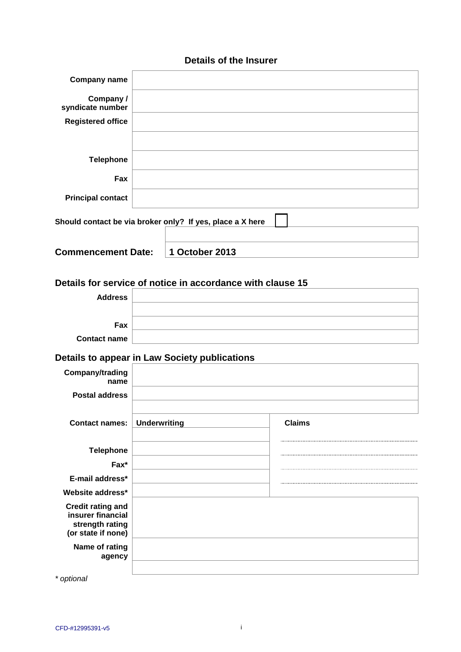# **Details of the Insurer**

<span id="page-1-0"></span>

| <b>Company name</b>                           |                                                            |               |  |
|-----------------------------------------------|------------------------------------------------------------|---------------|--|
| Company/<br>syndicate number                  |                                                            |               |  |
| <b>Registered office</b>                      |                                                            |               |  |
|                                               |                                                            |               |  |
| <b>Telephone</b>                              |                                                            |               |  |
|                                               |                                                            |               |  |
| Fax                                           |                                                            |               |  |
| <b>Principal contact</b>                      |                                                            |               |  |
|                                               | Should contact be via broker only? If yes, place a X here  |               |  |
|                                               |                                                            |               |  |
| <b>Commencement Date:</b>                     | 1 October 2013                                             |               |  |
|                                               |                                                            |               |  |
|                                               | Details for service of notice in accordance with clause 15 |               |  |
| <b>Address</b>                                |                                                            |               |  |
| Fax                                           |                                                            |               |  |
| <b>Contact name</b>                           |                                                            |               |  |
|                                               | Details to appear in Law Society publications              |               |  |
| Company/trading                               |                                                            |               |  |
| name                                          |                                                            |               |  |
| <b>Postal address</b>                         |                                                            |               |  |
|                                               |                                                            |               |  |
| <b>Contact names:</b>                         | <b>Underwriting</b>                                        | <b>Claims</b> |  |
| <b>Telephone</b>                              |                                                            |               |  |
| Fax*                                          |                                                            |               |  |
| E-mail address*                               |                                                            |               |  |
| Website address*                              |                                                            |               |  |
| <b>Credit rating and</b><br>insurer financial |                                                            |               |  |
| strength rating<br>(or state if none)         |                                                            |               |  |
| Name of rating                                |                                                            |               |  |
| agency                                        |                                                            |               |  |
|                                               |                                                            |               |  |

*\* optional*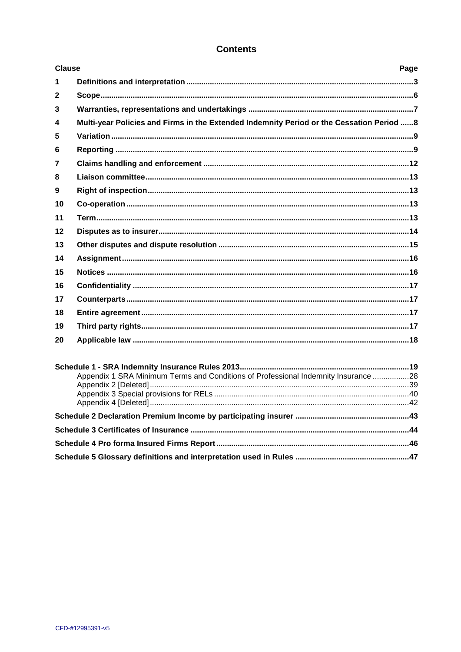# **Contents**

| <b>Clause</b> |                                                                                           | Page |
|---------------|-------------------------------------------------------------------------------------------|------|
| 1             |                                                                                           |      |
| $\mathbf{2}$  |                                                                                           |      |
| 3             |                                                                                           |      |
| 4             | Multi-year Policies and Firms in the Extended Indemnity Period or the Cessation Period  8 |      |
| 5             |                                                                                           |      |
| 6             |                                                                                           |      |
| 7             |                                                                                           |      |
| 8             |                                                                                           |      |
| 9             |                                                                                           |      |
| 10            |                                                                                           |      |
| 11            |                                                                                           |      |
| 12            |                                                                                           |      |
| 13            |                                                                                           |      |
| 14            |                                                                                           |      |
| 15            |                                                                                           |      |
| 16            |                                                                                           |      |
| 17            |                                                                                           |      |
| 18            |                                                                                           |      |
| 19            |                                                                                           |      |
| 20            |                                                                                           |      |
|               |                                                                                           |      |

| Appendix 1 SRA Minimum Terms and Conditions of Professional Indemnity Insurance 28 |  |
|------------------------------------------------------------------------------------|--|
|                                                                                    |  |
|                                                                                    |  |
|                                                                                    |  |
|                                                                                    |  |
|                                                                                    |  |
|                                                                                    |  |
|                                                                                    |  |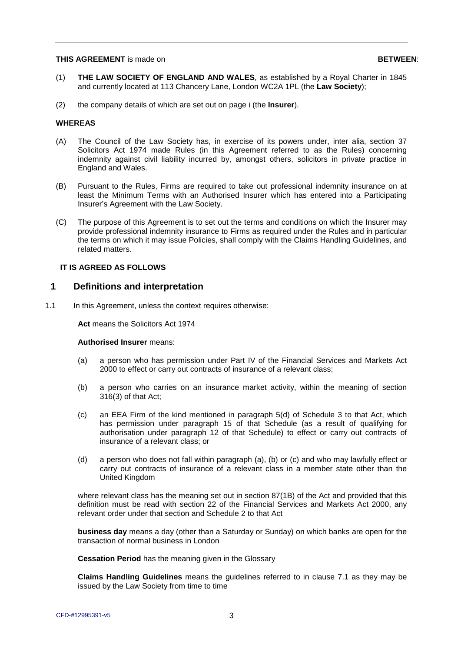#### **THIS AGREEMENT** is made on **BETWEEN:**

- (1) **THE LAW SOCIETY OF ENGLAND AND WALES**, as established by a Royal Charter in 1845 and currently located at 113 Chancery Lane, London WC2A 1PL (the **Law Society**);
- (2) the company details of which are set out on pag[e i](#page-1-0) (the **Insurer**).

#### **WHEREAS**

- (A) The Council of the Law Society has, in exercise of its powers under, inter alia, section 37 Solicitors Act 1974 made Rules (in this Agreement referred to as the Rules) concerning indemnity against civil liability incurred by, amongst others, solicitors in private practice in England and Wales.
- (B) Pursuant to the Rules, Firms are required to take out professional indemnity insurance on at least the Minimum Terms with an Authorised Insurer which has entered into a Participating Insurer's Agreement with the Law Society.
- (C) The purpose of this Agreement is to set out the terms and conditions on which the Insurer may provide professional indemnity insurance to Firms as required under the Rules and in particular the terms on which it may issue Policies, shall comply with the Claims Handling Guidelines, and related matters.

## **IT IS AGREED AS FOLLOWS**

## **1 Definitions and interpretation**

1.1 In this Agreement, unless the context requires otherwise:

**Act** means the Solicitors Act 1974

#### **Authorised Insurer** means:

- (a) a person who has permission under Part IV of the Financial Services and Markets Act 2000 to effect or carry out contracts of insurance of a relevant class;
- (b) a person who carries on an insurance market activity, within the meaning of section 316(3) of that Act;
- (c) an EEA Firm of the kind mentioned in paragraph 5(d) of Schedule 3 to that Act, which has permission under paragraph 15 of that Schedule (as a result of qualifying for authorisation under paragraph 12 of that Schedule) to effect or carry out contracts of insurance of a relevant class; or
- (d) a person who does not fall within paragraph (a), (b) or (c) and who may lawfully effect or carry out contracts of insurance of a relevant class in a member state other than the United Kingdom

where relevant class has the meaning set out in section 87(1B) of the Act and provided that this definition must be read with section 22 of the Financial Services and Markets Act 2000, any relevant order under that section and Schedule 2 to that Act

**business day** means a day (other than a Saturday or Sunday) on which banks are open for the transaction of normal business in London

**Cessation Period** has the meaning given in the Glossary

**Claims Handling Guidelines** means the guidelines referred to in clause [7.1](#page-12-0) as they may be issued by the Law Society from time to time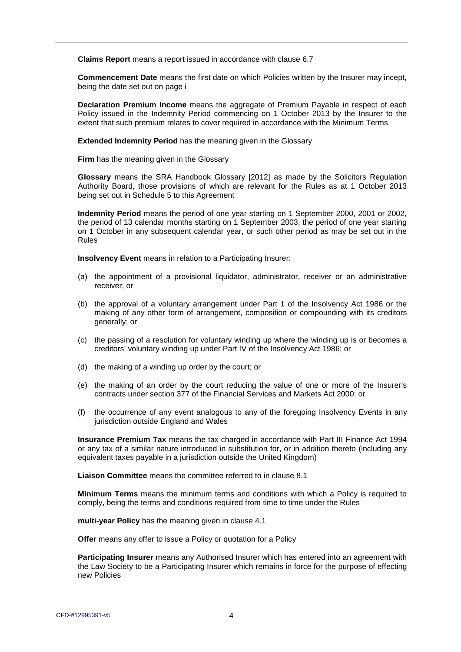**Claims Report** means a report issued in accordance with clause [6.7](#page-11-0)

**Commencement Date** means the first date on which Policies written by the Insurer may incept, being the date set out on page [i](#page-1-0)

**Declaration Premium Income** means the aggregate of Premium Payable in respect of each Policy issued in the Indemnity Period commencing on 1 October 2013 by the Insurer to the extent that such premium relates to cover required in accordance with the Minimum Terms

**Extended Indemnity Period** has the meaning given in the Glossary

**Firm** has the meaning given in the Glossary

**Glossary** means the SRA Handbook Glossary [2012] as made by the Solicitors Regulation Authority Board, those provisions of which are relevant for the Rules as at 1 October 2013 being set out in [Schedule](#page-47-0) 5 to this Agreement

**Indemnity Period** means the period of one year starting on 1 September 2000, 2001 or 2002, the period of 13 calendar months starting on 1 September 2003, the period of one year starting on 1 October in any subsequent calendar year, or such other period as may be set out in the Rules

**Insolvency Event** means in relation to a Participating Insurer:

- (a) the appointment of a provisional liquidator, administrator, receiver or an administrative receiver; or
- (b) the approval of a voluntary arrangement under Part 1 of the Insolvency Act 1986 or the making of any other form of arrangement, composition or compounding with its creditors generally; or
- (c) the passing of a resolution for voluntary winding up where the winding up is or becomes a creditors' voluntary winding up under Part IV of the Insolvency Act 1986; or
- (d) the making of a winding up order by the court; or
- (e) the making of an order by the court reducing the value of one or more of the Insurer's contracts under section 377 of the Financial Services and Markets Act 2000; or
- (f) the occurrence of any event analogous to any of the foregoing Insolvency Events in any jurisdiction outside England and Wales

**Insurance Premium Tax** means the tax charged in accordance with Part III Finance Act 1994 or any tax of a similar nature introduced in substitution for, or in addition thereto (including any equivalent taxes payable in a jurisdiction outside the United Kingdom)

**Liaison Committee** means the committee referred to in claus[e 8.1](#page-13-0)

**Minimum Terms** means the minimum terms and conditions with which a Policy is required to comply, being the terms and conditions required from time to time under the Rules

**multi-year Policy** has the meaning given in clause [4.1](#page-8-0)

**Offer** means any offer to issue a Policy or quotation for a Policy

**Participating Insurer** means any Authorised Insurer which has entered into an agreement with the Law Society to be a Participating Insurer which remains in force for the purpose of effecting new Policies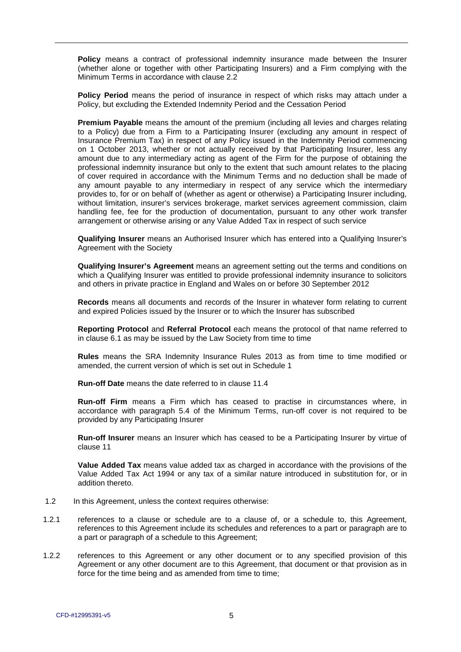**Policy** means a contract of professional indemnity insurance made between the Insurer (whether alone or together with other Participating Insurers) and a Firm complying with the Minimum Terms in accordance with clause [2.2](#page-6-0)

**Policy Period** means the period of insurance in respect of which risks may attach under a Policy, but excluding the Extended Indemnity Period and the Cessation Period

**Premium Payable** means the amount of the premium (including all levies and charges relating to a Policy) due from a Firm to a Participating Insurer (excluding any amount in respect of Insurance Premium Tax) in respect of any Policy issued in the Indemnity Period commencing on 1 October 2013, whether or not actually received by that Participating Insurer, less any amount due to any intermediary acting as agent of the Firm for the purpose of obtaining the professional indemnity insurance but only to the extent that such amount relates to the placing of cover required in accordance with the Minimum Terms and no deduction shall be made of any amount payable to any intermediary in respect of any service which the intermediary provides to, for or on behalf of (whether as agent or otherwise) a Participating Insurer including, without limitation, insurer's services brokerage, market services agreement commission, claim handling fee, fee for the production of documentation, pursuant to any other work transfer arrangement or otherwise arising or any Value Added Tax in respect of such service

**Qualifying Insurer** means an Authorised Insurer which has entered into a Qualifying Insurer's Agreement with the Society

**Qualifying Insurer's Agreement** means an agreement setting out the terms and conditions on which a Qualifying Insurer was entitled to provide professional indemnity insurance to solicitors and others in private practice in England and Wales on or before 30 September 2012

**Records** means all documents and records of the Insurer in whatever form relating to current and expired Policies issued by the Insurer or to which the Insurer has subscribed

**Reporting Protocol** and **Referral Protocol** each means the protocol of that name referred to in claus[e 6.1](#page-9-0) as may be issued by the Law Society from time to time

**Rules** means the SRA Indemnity Insurance Rules 2013 as from time to time modified or amended, the current version of which is set out in [Schedule](#page-19-0) 1

**Run-off Date** means the date referred to in clause [11.4](#page-14-0)

**Run-off Firm** means a Firm which has ceased to practise in circumstances where, in accordance with paragraph [5.4](#page-34-0) of the Minimum Terms, run-off cover is not required to be provided by any Participating Insurer

**Run-off Insurer** means an Insurer which has ceased to be a Participating Insurer by virtue of clause [11](#page-13-1)

**Value Added Tax** means value added tax as charged in accordance with the provisions of the Value Added Tax Act 1994 or any tax of a similar nature introduced in substitution for, or in addition thereto.

- 1.2 In this Agreement, unless the context requires otherwise:
- 1.2.1 references to a clause or schedule are to a clause of, or a schedule to, this Agreement, references to this Agreement include its schedules and references to a part or paragraph are to a part or paragraph of a schedule to this Agreement;
- 1.2.2 references to this Agreement or any other document or to any specified provision of this Agreement or any other document are to this Agreement, that document or that provision as in force for the time being and as amended from time to time;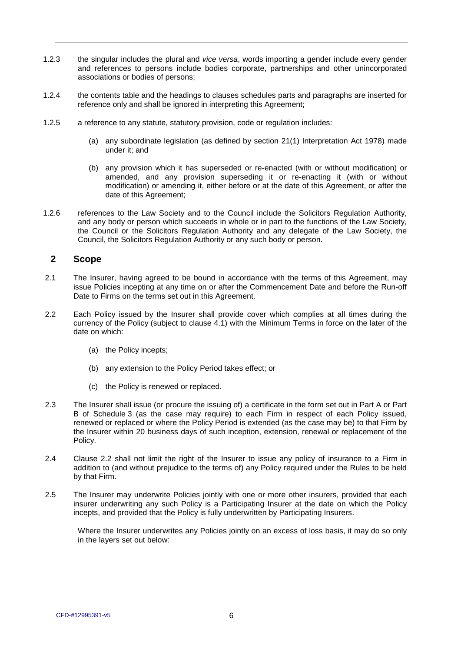- 1.2.3 the singular includes the plural and *vice versa*, words importing a gender include every gender and references to persons include bodies corporate, partnerships and other unincorporated associations or bodies of persons;
- 1.2.4 the contents table and the headings to clauses schedules parts and paragraphs are inserted for reference only and shall be ignored in interpreting this Agreement;
- 1.2.5 a reference to any statute, statutory provision, code or regulation includes:
	- (a) any subordinate legislation (as defined by section 21(1) Interpretation Act 1978) made under it; and
	- (b) any provision which it has superseded or re-enacted (with or without modification) or amended, and any provision superseding it or re-enacting it (with or without modification) or amending it, either before or at the date of this Agreement, or after the date of this Agreement;
- 1.2.6 references to the Law Society and to the Council include the Solicitors Regulation Authority, and any body or person which succeeds in whole or in part to the functions of the Law Society, the Council or the Solicitors Regulation Authority and any delegate of the Law Society, the Council, the Solicitors Regulation Authority or any such body or person.

## **2 Scope**

- <span id="page-6-1"></span>2.1 The Insurer, having agreed to be bound in accordance with the terms of this Agreement, may issue Policies incepting at any time on or after the Commencement Date and before the Run-off Date to Firms on the terms set out in this Agreement.
- <span id="page-6-0"></span>2.2 Each Policy issued by the Insurer shall provide cover which complies at all times during the currency of the Policy (subject to clause [4.1\)](#page-8-0) with the Minimum Terms in force on the later of the date on which:
	- (a) the Policy incepts;
	- (b) any extension to the Policy Period takes effect; or
	- (c) the Policy is renewed or replaced.
- 2.3 The Insurer shall issue (or procure the issuing of) a certificate in the form set out in Part A or Part B of [Schedule](#page-44-0) 3 (as the case may require) to each Firm in respect of each Policy issued, renewed or replaced or where the Policy Period is extended (as the case may be) to that Firm by the Insurer within 20 business days of such inception, extension, renewal or replacement of the Policy.
- 2.4 Clause [2.2](#page-6-0) shall not limit the right of the Insurer to issue any policy of insurance to a Firm in addition to (and without prejudice to the terms of) any Policy required under the Rules to be held by that Firm.
- 2.5 The Insurer may underwrite Policies jointly with one or more other insurers, provided that each insurer underwriting any such Policy is a Participating Insurer at the date on which the Policy incepts, and provided that the Policy is fully underwritten by Participating Insurers.

Where the Insurer underwrites any Policies jointly on an excess of loss basis, it may do so only in the layers set out below: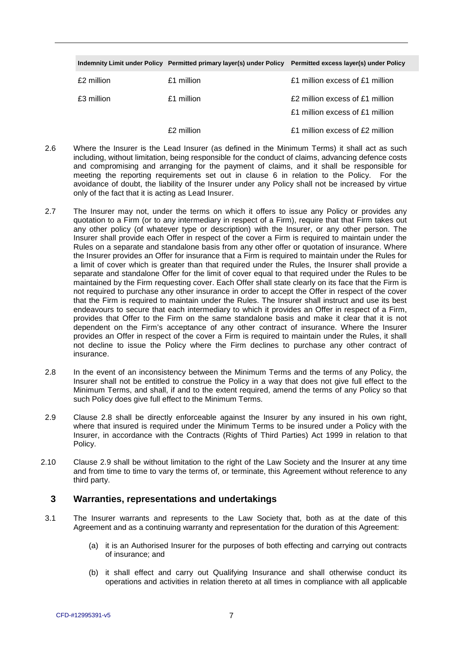|            | Indemnity Limit under Policy Permitted primary layer(s) under Policy | <b>Permitted excess layer(s) under Policy</b>                      |
|------------|----------------------------------------------------------------------|--------------------------------------------------------------------|
| £2 million | £1 million                                                           | £1 million excess of £1 million                                    |
| £3 million | £1 million                                                           | £2 million excess of £1 million<br>£1 million excess of £1 million |
|            | £2 million                                                           | £1 million excess of £2 million                                    |

- 2.6 Where the Insurer is the Lead Insurer (as defined in the Minimum Terms) it shall act as such including, without limitation, being responsible for the conduct of claims, advancing defence costs and compromising and arranging for the payment of claims, and it shall be responsible for meeting the reporting requirements set out in clause [6](#page-9-1) in relation to the Policy. For the avoidance of doubt, the liability of the Insurer under any Policy shall not be increased by virtue only of the fact that it is acting as Lead Insurer.
- 2.7 The Insurer may not, under the terms on which it offers to issue any Policy or provides any quotation to a Firm (or to any intermediary in respect of a Firm), require that that Firm takes out any other policy (of whatever type or description) with the Insurer, or any other person. The Insurer shall provide each Offer in respect of the cover a Firm is required to maintain under the Rules on a separate and standalone basis from any other offer or quotation of insurance. Where the Insurer provides an Offer for insurance that a Firm is required to maintain under the Rules for a limit of cover which is greater than that required under the Rules, the Insurer shall provide a separate and standalone Offer for the limit of cover equal to that required under the Rules to be maintained by the Firm requesting cover. Each Offer shall state clearly on its face that the Firm is not required to purchase any other insurance in order to accept the Offer in respect of the cover that the Firm is required to maintain under the Rules. The Insurer shall instruct and use its best endeavours to secure that each intermediary to which it provides an Offer in respect of a Firm, provides that Offer to the Firm on the same standalone basis and make it clear that it is not dependent on the Firm's acceptance of any other contract of insurance. Where the Insurer provides an Offer in respect of the cover a Firm is required to maintain under the Rules, it shall not decline to issue the Policy where the Firm declines to purchase any other contract of insurance.
- <span id="page-7-0"></span>2.8 In the event of an inconsistency between the Minimum Terms and the terms of any Policy, the Insurer shall not be entitled to construe the Policy in a way that does not give full effect to the Minimum Terms, and shall, if and to the extent required, amend the terms of any Policy so that such Policy does give full effect to the Minimum Terms.
- <span id="page-7-1"></span>2.9 Clause [2.8](#page-7-0) shall be directly enforceable against the Insurer by any insured in his own right, where that insured is required under the Minimum Terms to be insured under a Policy with the Insurer, in accordance with the Contracts (Rights of Third Parties) Act 1999 in relation to that Policy.
- 2.10 Clause [2.9](#page-7-1) shall be without limitation to the right of the Law Society and the Insurer at any time and from time to time to vary the terms of, or terminate, this Agreement without reference to any third party.

# **3 Warranties, representations and undertakings**

- <span id="page-7-2"></span>3.1 The Insurer warrants and represents to the Law Society that, both as at the date of this Agreement and as a continuing warranty and representation for the duration of this Agreement:
	- (a) it is an Authorised Insurer for the purposes of both effecting and carrying out contracts of insurance; and
	- (b) it shall effect and carry out Qualifying Insurance and shall otherwise conduct its operations and activities in relation thereto at all times in compliance with all applicable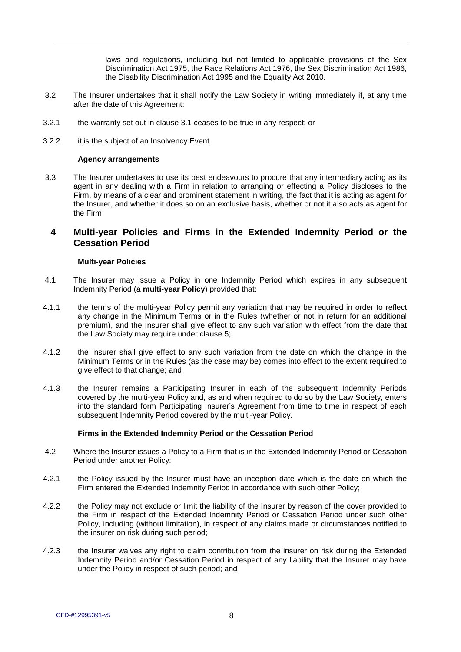laws and regulations, including but not limited to applicable provisions of the Sex Discrimination Act 1975, the Race Relations Act 1976, the Sex Discrimination Act 1986, the Disability Discrimination Act 1995 and the Equality Act 2010.

- <span id="page-8-3"></span>3.2 The Insurer undertakes that it shall notify the Law Society in writing immediately if, at any time after the date of this Agreement:
- 3.2.1 the warranty set out in clause [3.1](#page-7-2) ceases to be true in any respect; or
- 3.2.2 it is the subject of an Insolvency Event.

#### **Agency arrangements**

3.3 The Insurer undertakes to use its best endeavours to procure that any intermediary acting as its agent in any dealing with a Firm in relation to arranging or effecting a Policy discloses to the Firm, by means of a clear and prominent statement in writing, the fact that it is acting as agent for the Insurer, and whether it does so on an exclusive basis, whether or not it also acts as agent for the Firm.

# **4 Multi-year Policies and Firms in the Extended Indemnity Period or the Cessation Period**

#### **Multi-year Policies**

- <span id="page-8-0"></span>4.1 The Insurer may issue a Policy in one Indemnity Period which expires in any subsequent Indemnity Period (a **multi-year Policy**) provided that:
- 4.1.1 the terms of the multi-year Policy permit any variation that may be required in order to reflect any change in the Minimum Terms or in the Rules (whether or not in return for an additional premium), and the Insurer shall give effect to any such variation with effect from the date that the Law Society may require under claus[e 5;](#page-9-2)
- 4.1.2 the Insurer shall give effect to any such variation from the date on which the change in the Minimum Terms or in the Rules (as the case may be) comes into effect to the extent required to give effect to that change; and
- 4.1.3 the Insurer remains a Participating Insurer in each of the subsequent Indemnity Periods covered by the multi-year Policy and, as and when required to do so by the Law Society, enters into the standard form Participating Insurer's Agreement from time to time in respect of each subsequent Indemnity Period covered by the multi-year Policy.

## **Firms in the Extended Indemnity Period or the Cessation Period**

- <span id="page-8-2"></span>4.2 Where the Insurer issues a Policy to a Firm that is in the Extended Indemnity Period or Cessation Period under another Policy:
- 4.2.1 the Policy issued by the Insurer must have an inception date which is the date on which the Firm entered the Extended Indemnity Period in accordance with such other Policy;
- 4.2.2 the Policy may not exclude or limit the liability of the Insurer by reason of the cover provided to the Firm in respect of the Extended Indemnity Period or Cessation Period under such other Policy, including (without limitation), in respect of any claims made or circumstances notified to the insurer on risk during such period;
- <span id="page-8-1"></span>4.2.3 the Insurer waives any right to claim contribution from the insurer on risk during the Extended Indemnity Period and/or Cessation Period in respect of any liability that the Insurer may have under the Policy in respect of such period; and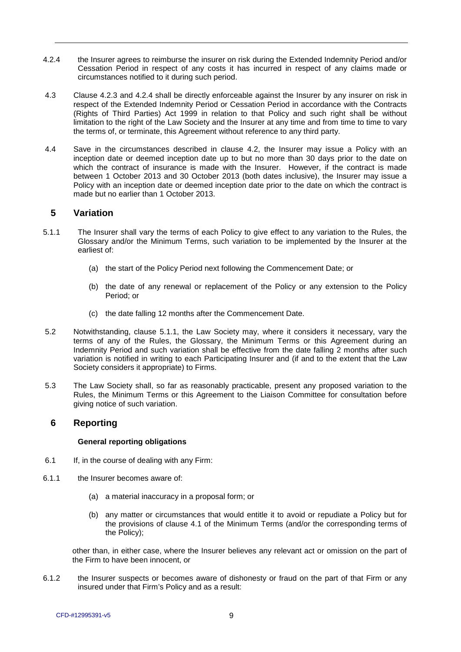- <span id="page-9-3"></span>4.2.4 the Insurer agrees to reimburse the insurer on risk during the Extended Indemnity Period and/or Cessation Period in respect of any costs it has incurred in respect of any claims made or circumstances notified to it during such period.
- <span id="page-9-8"></span>4.3 Clause [4.2.3](#page-8-1) and [4.2.4](#page-9-3) shall be directly enforceable against the Insurer by any insurer on risk in respect of the Extended Indemnity Period or Cessation Period in accordance with the Contracts (Rights of Third Parties) Act 1999 in relation to that Policy and such right shall be without limitation to the right of the Law Society and the Insurer at any time and from time to time to vary the terms of, or terminate, this Agreement without reference to any third party.
- 4.4 Save in the circumstances described in clause [4.2,](#page-8-2) the Insurer may issue a Policy with an inception date or deemed inception date up to but no more than 30 days prior to the date on which the contract of insurance is made with the Insurer. However, if the contract is made between 1 October 2013 and 30 October 2013 (both dates inclusive), the Insurer may issue a Policy with an inception date or deemed inception date prior to the date on which the contract is made but no earlier than 1 October 2013.

## <span id="page-9-2"></span>**5 Variation**

- <span id="page-9-4"></span>5.1.1 The Insurer shall vary the terms of each Policy to give effect to any variation to the Rules, the Glossary and/or the Minimum Terms, such variation to be implemented by the Insurer at the earliest of:
	- (a) the start of the Policy Period next following the Commencement Date; or
	- (b) the date of any renewal or replacement of the Policy or any extension to the Policy Period; or
	- (c) the date falling 12 months after the Commencement Date.
- 5.2 Notwithstanding, clause [5.1.1,](#page-9-4) the Law Society may, where it considers it necessary, vary the terms of any of the Rules, the Glossary, the Minimum Terms or this Agreement during an Indemnity Period and such variation shall be effective from the date falling 2 months after such variation is notified in writing to each Participating Insurer and (if and to the extent that the Law Society considers it appropriate) to Firms.
- 5.3 The Law Society shall, so far as reasonably practicable, present any proposed variation to the Rules, the Minimum Terms or this Agreement to the Liaison Committee for consultation before giving notice of such variation.

# <span id="page-9-1"></span>**6 Reporting**

## **General reporting obligations**

- <span id="page-9-0"></span>6.1 If, in the course of dealing with any Firm:
- <span id="page-9-6"></span><span id="page-9-5"></span>6.1.1 the Insurer becomes aware of:
	- (a) a material inaccuracy in a proposal form; or
	- (b) any matter or circumstances that would entitle it to avoid or repudiate a Policy but for the provisions of clause [4.1](#page-31-0) of the Minimum Terms (and/or the corresponding terms of the Policy);

other than, in either case, where the Insurer believes any relevant act or omission on the part of the Firm to have been innocent, or

<span id="page-9-7"></span>6.1.2 the Insurer suspects or becomes aware of dishonesty or fraud on the part of that Firm or any insured under that Firm's Policy and as a result: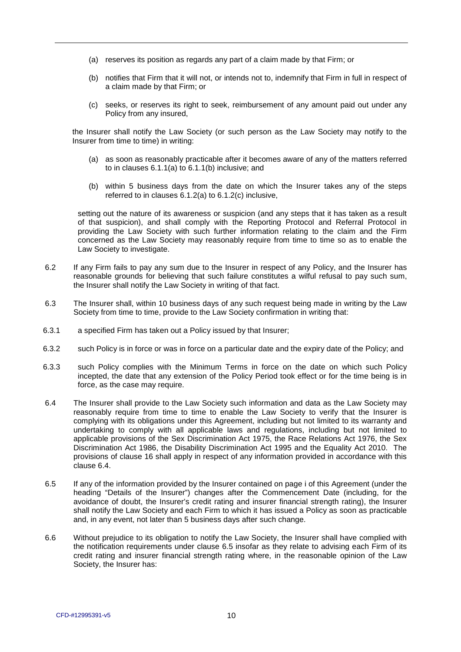- (a) reserves its position as regards any part of a claim made by that Firm; or
- (b) notifies that Firm that it will not, or intends not to, indemnify that Firm in full in respect of a claim made by that Firm; or
- (c) seeks, or reserves its right to seek, reimbursement of any amount paid out under any Policy from any insured,

the Insurer shall notify the Law Society (or such person as the Law Society may notify to the Insurer from time to time) in writing:

- (a) as soon as reasonably practicable after it becomes aware of any of the matters referred to in clauses [6.1.1\(a\)](#page-9-5) t[o 6.1.1\(b\)](#page-9-6) inclusive; and
- (b) within 5 business days from the date on which the Insurer takes any of the steps referred to in clauses [6.1.2\(a\)](#page-9-7) t[o 6.1.2\(c\)](#page-9-7) inclusive,

setting out the nature of its awareness or suspicion (and any steps that it has taken as a result of that suspicion), and shall comply with the Reporting Protocol and Referral Protocol in providing the Law Society with such further information relating to the claim and the Firm concerned as the Law Society may reasonably require from time to time so as to enable the Law Society to investigate.

- 6.2 If any Firm fails to pay any sum due to the Insurer in respect of any Policy, and the Insurer has reasonable grounds for believing that such failure constitutes a wilful refusal to pay such sum, the Insurer shall notify the Law Society in writing of that fact.
- 6.3 The Insurer shall, within 10 business days of any such request being made in writing by the Law Society from time to time, provide to the Law Society confirmation in writing that:
- 6.3.1 a specified Firm has taken out a Policy issued by that Insurer;
- 6.3.2 such Policy is in force or was in force on a particular date and the expiry date of the Policy; and
- 6.3.3 such Policy complies with the Minimum Terms in force on the date on which such Policy incepted, the date that any extension of the Policy Period took effect or for the time being is in force, as the case may require.
- <span id="page-10-0"></span>6.4 The Insurer shall provide to the Law Society such information and data as the Law Society may reasonably require from time to time to enable the Law Society to verify that the Insurer is complying with its obligations under this Agreement, including but not limited to its warranty and undertaking to comply with all applicable laws and regulations, including but not limited to applicable provisions of the Sex Discrimination Act 1975, the Race Relations Act 1976, the Sex Discrimination Act 1986, the Disability Discrimination Act 1995 and the Equality Act 2010. The provisions of clause [16](#page-17-0) shall apply in respect of any information provided in accordance with this clause [6.4.](#page-10-0)
- <span id="page-10-1"></span>6.5 If any of the information provided by the Insurer contained on pag[e i](#page-1-0) of this Agreement (under the heading "Details of the Insurer") changes after the Commencement Date (including, for the avoidance of doubt, the Insurer's credit rating and insurer financial strength rating), the Insurer shall notify the Law Society and each Firm to which it has issued a Policy as soon as practicable and, in any event, not later than 5 business days after such change.
- 6.6 Without prejudice to its obligation to notify the Law Society, the Insurer shall have complied with the notification requirements under clause [6.5](#page-10-1) insofar as they relate to advising each Firm of its credit rating and insurer financial strength rating where, in the reasonable opinion of the Law Society, the Insurer has: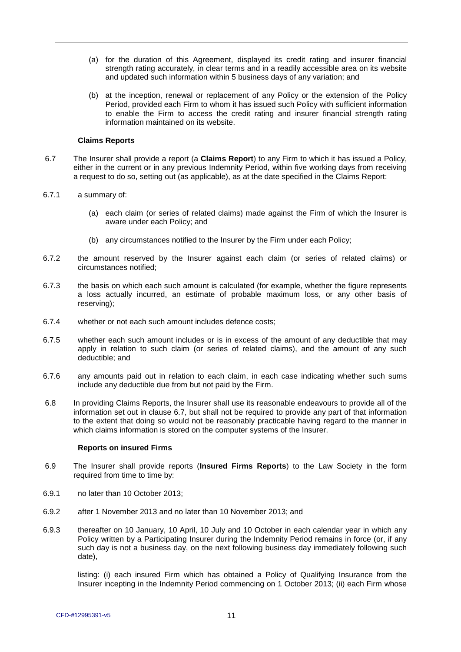- (a) for the duration of this Agreement, displayed its credit rating and insurer financial strength rating accurately, in clear terms and in a readily accessible area on its website and updated such information within 5 business days of any variation; and
- (b) at the inception, renewal or replacement of any Policy or the extension of the Policy Period, provided each Firm to whom it has issued such Policy with sufficient information to enable the Firm to access the credit rating and insurer financial strength rating information maintained on its website.

#### **Claims Reports**

- <span id="page-11-0"></span>6.7 The Insurer shall provide a report (a **Claims Report**) to any Firm to which it has issued a Policy, either in the current or in any previous Indemnity Period, within five working days from receiving a request to do so, setting out (as applicable), as at the date specified in the Claims Report:
- 6.7.1 a summary of:
	- (a) each claim (or series of related claims) made against the Firm of which the Insurer is aware under each Policy; and
	- (b) any circumstances notified to the Insurer by the Firm under each Policy;
- 6.7.2 the amount reserved by the Insurer against each claim (or series of related claims) or circumstances notified;
- 6.7.3 the basis on which each such amount is calculated (for example, whether the figure represents a loss actually incurred, an estimate of probable maximum loss, or any other basis of reserving);
- 6.7.4 whether or not each such amount includes defence costs;
- 6.7.5 whether each such amount includes or is in excess of the amount of any deductible that may apply in relation to such claim (or series of related claims), and the amount of any such deductible; and
- 6.7.6 any amounts paid out in relation to each claim, in each case indicating whether such sums include any deductible due from but not paid by the Firm.
- 6.8 In providing Claims Reports, the Insurer shall use its reasonable endeavours to provide all of the information set out in clause [6.7,](#page-11-0) but shall not be required to provide any part of that information to the extent that doing so would not be reasonably practicable having regard to the manner in which claims information is stored on the computer systems of the Insurer.

#### **Reports on insured Firms**

- 6.9 The Insurer shall provide reports (**Insured Firms Reports**) to the Law Society in the form required from time to time by:
- 6.9.1 no later than 10 October 2013;
- 6.9.2 after 1 November 2013 and no later than 10 November 2013; and
- 6.9.3 thereafter on 10 January, 10 April, 10 July and 10 October in each calendar year in which any Policy written by a Participating Insurer during the Indemnity Period remains in force (or, if any such day is not a business day, on the next following business day immediately following such date),

listing: (i) each insured Firm which has obtained a Policy of Qualifying Insurance from the Insurer incepting in the Indemnity Period commencing on 1 October 2013; (ii) each Firm whose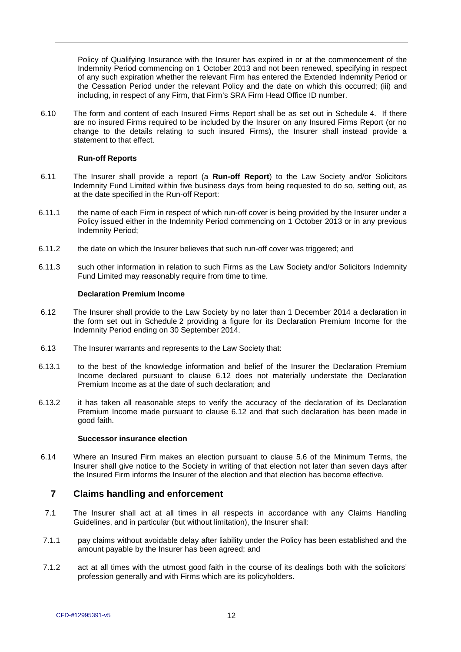<span id="page-12-3"></span>Policy of Qualifying Insurance with the Insurer has expired in or at the commencement of the Indemnity Period commencing on 1 October 2013 and not been renewed, specifying in respect of any such expiration whether the relevant Firm has entered the Extended Indemnity Period or the Cessation Period under the relevant Policy and the date on which this occurred; (iii) and including, in respect of any Firm, that Firm's SRA Firm Head Office ID number.

6.10 The form and content of each Insured Firms Report shall be as set out in [Schedule](#page-46-0) 4. If there are no insured Firms required to be included by the Insurer on any Insured Firms Report (or no change to the details relating to such insured Firms), the Insurer shall instead provide a statement to that effect.

#### **Run-off Reports**

- 6.11 The Insurer shall provide a report (a **Run-off Report**) to the Law Society and/or Solicitors Indemnity Fund Limited within five business days from being requested to do so, setting out, as at the date specified in the Run-off Report:
- 6.11.1 the name of each Firm in respect of which run-off cover is being provided by the Insurer under a Policy issued either in the Indemnity Period commencing on 1 October 2013 or in any previous Indemnity Period;
- 6.11.2 the date on which the Insurer believes that such run-off cover was triggered; and
- 6.11.3 such other information in relation to such Firms as the Law Society and/or Solicitors Indemnity Fund Limited may reasonably require from time to time.

#### <span id="page-12-1"></span>**Declaration Premium Income**

- <span id="page-12-2"></span>6.12 The Insurer shall provide to the Law Society by no later than 1 December 2014 a declaration in the form set out in [Schedule](#page-43-0) 2 providing a figure for its Declaration Premium Income for the Indemnity Period ending on 30 September 2014.
- 6.13 The Insurer warrants and represents to the Law Society that:
- 6.13.1 to the best of the knowledge information and belief of the Insurer the Declaration Premium Income declared pursuant to clause [6.12](#page-12-1) does not materially understate the Declaration Premium Income as at the date of such declaration; and
- 6.13.2 it has taken all reasonable steps to verify the accuracy of the declaration of its Declaration Premium Income made pursuant to clause [6.12](#page-12-2) and that such declaration has been made in good faith.

#### **Successor insurance election**

6.14 Where an Insured Firm makes an election pursuant to clause [5.6](#page-34-1) of the Minimum Terms, the Insurer shall give notice to the Society in writing of that election not later than seven days after the Insured Firm informs the Insurer of the election and that election has become effective.

## **7 Claims handling and enforcement**

- <span id="page-12-0"></span>7.1 The Insurer shall act at all times in all respects in accordance with any Claims Handling Guidelines, and in particular (but without limitation), the Insurer shall:
- 7.1.1 pay claims without avoidable delay after liability under the Policy has been established and the amount payable by the Insurer has been agreed; and
- 7.1.2 act at all times with the utmost good faith in the course of its dealings both with the solicitors' profession generally and with Firms which are its policyholders.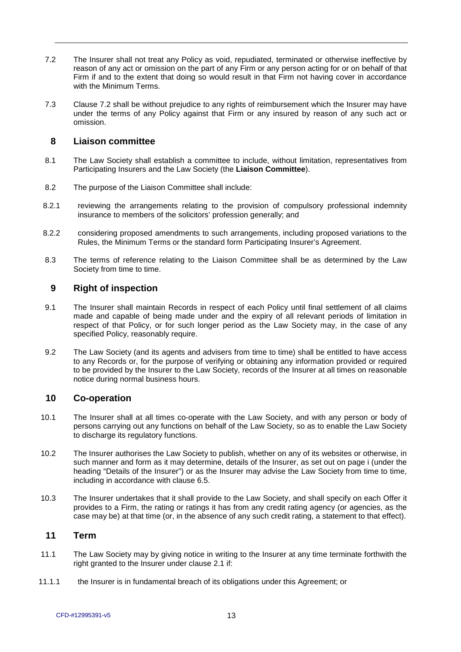- <span id="page-13-2"></span>7.2 The Insurer shall not treat any Policy as void, repudiated, terminated or otherwise ineffective by reason of any act or omission on the part of any Firm or any person acting for or on behalf of that Firm if and to the extent that doing so would result in that Firm not having cover in accordance with the Minimum Terms.
- 7.3 Clause [7.2](#page-13-2) shall be without prejudice to any rights of reimbursement which the Insurer may have under the terms of any Policy against that Firm or any insured by reason of any such act or omission.

## **8 Liaison committee**

- <span id="page-13-0"></span>8.1 The Law Society shall establish a committee to include, without limitation, representatives from Participating Insurers and the Law Society (the **Liaison Committee**).
- 8.2 The purpose of the Liaison Committee shall include:
- 8.2.1 reviewing the arrangements relating to the provision of compulsory professional indemnity insurance to members of the solicitors' profession generally; and
- 8.2.2 considering proposed amendments to such arrangements, including proposed variations to the Rules, the Minimum Terms or the standard form Participating Insurer's Agreement.
- 8.3 The terms of reference relating to the Liaison Committee shall be as determined by the Law Society from time to time.

# **9 Right of inspection**

- 9.1 The Insurer shall maintain Records in respect of each Policy until final settlement of all claims made and capable of being made under and the expiry of all relevant periods of limitation in respect of that Policy, or for such longer period as the Law Society may, in the case of any specified Policy, reasonably require.
- 9.2 The Law Society (and its agents and advisers from time to time) shall be entitled to have access to any Records or, for the purpose of verifying or obtaining any information provided or required to be provided by the Insurer to the Law Society, records of the Insurer at all times on reasonable notice during normal business hours.

# **10 Co-operation**

- 10.1 The Insurer shall at all times co-operate with the Law Society, and with any person or body of persons carrying out any functions on behalf of the Law Society, so as to enable the Law Society to discharge its regulatory functions.
- 10.2 The Insurer authorises the Law Society to publish, whether on any of its websites or otherwise, in such manner and form as it may determine, details of the Insurer, as set out on pag[e i](#page-1-0) (under the heading "Details of the Insurer") or as the Insurer may advise the Law Society from time to time, including in accordance with clause [6.5.](#page-10-1)
- 10.3 The Insurer undertakes that it shall provide to the Law Society, and shall specify on each Offer it provides to a Firm, the rating or ratings it has from any credit rating agency (or agencies, as the case may be) at that time (or, in the absence of any such credit rating, a statement to that effect).

# <span id="page-13-1"></span>**11 Term**

- <span id="page-13-3"></span>11.1 The Law Society may by giving notice in writing to the Insurer at any time terminate forthwith the right granted to the Insurer under claus[e 2.1](#page-6-1) if:
- 11.1.1 the Insurer is in fundamental breach of its obligations under this Agreement; or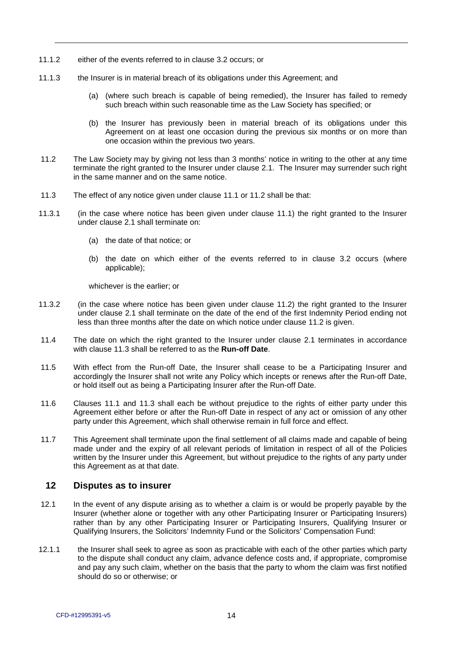- 11.1.2 either of the events referred to in clause [3.2](#page-8-3) occurs; or
- 11.1.3 the Insurer is in material breach of its obligations under this Agreement; and
	- (a) (where such breach is capable of being remedied), the Insurer has failed to remedy such breach within such reasonable time as the Law Society has specified; or
	- (b) the Insurer has previously been in material breach of its obligations under this Agreement on at least one occasion during the previous six months or on more than one occasion within the previous two years.
- <span id="page-14-1"></span>11.2 The Law Society may by giving not less than 3 months' notice in writing to the other at any time terminate the right granted to the Insurer under clause [2.1.](#page-6-1) The Insurer may surrender such right in the same manner and on the same notice.
- <span id="page-14-2"></span>11.3 The effect of any notice given under clause [11.1](#page-13-3) or [11.2](#page-14-1) shall be that:
- 11.3.1 (in the case where notice has been given under clause [11.1\)](#page-13-3) the right granted to the Insurer under clause [2.1](#page-6-1) shall terminate on:
	- (a) the date of that notice; or
	- (b) the date on which either of the events referred to in clause [3.2](#page-8-3) occurs (where applicable);

whichever is the earlier; or

- 11.3.2 (in the case where notice has been given under clause [11.2\)](#page-14-1) the right granted to the Insurer under clause [2.1](#page-6-1) shall terminate on the date of the end of the first Indemnity Period ending not less than three months after the date on which notice under clause [11.2](#page-14-1) is given.
- <span id="page-14-0"></span>11.4 The date on which the right granted to the Insurer under clause [2.1](#page-6-1) terminates in accordance with clause [11.3](#page-14-2) shall be referred to as the **Run-off Date**.
- 11.5 With effect from the Run-off Date, the Insurer shall cease to be a Participating Insurer and accordingly the Insurer shall not write any Policy which incepts or renews after the Run-off Date, or hold itself out as being a Participating Insurer after the Run-off Date.
- 11.6 Clauses [11.1](#page-13-3) and [11.3](#page-14-2) shall each be without prejudice to the rights of either party under this Agreement either before or after the Run-off Date in respect of any act or omission of any other party under this Agreement, which shall otherwise remain in full force and effect.
- 11.7 This Agreement shall terminate upon the final settlement of all claims made and capable of being made under and the expiry of all relevant periods of limitation in respect of all of the Policies written by the Insurer under this Agreement, but without prejudice to the rights of any party under this Agreement as at that date.

## **12 Disputes as to insurer**

- <span id="page-14-4"></span>12.1 In the event of any dispute arising as to whether a claim is or would be properly payable by the Insurer (whether alone or together with any other Participating Insurer or Participating Insurers) rather than by any other Participating Insurer or Participating Insurers, Qualifying Insurer or Qualifying Insurers, the Solicitors' Indemnity Fund or the Solicitors' Compensation Fund:
- <span id="page-14-3"></span>12.1.1 the Insurer shall seek to agree as soon as practicable with each of the other parties which party to the dispute shall conduct any claim, advance defence costs and, if appropriate, compromise and pay any such claim, whether on the basis that the party to whom the claim was first notified should do so or otherwise; or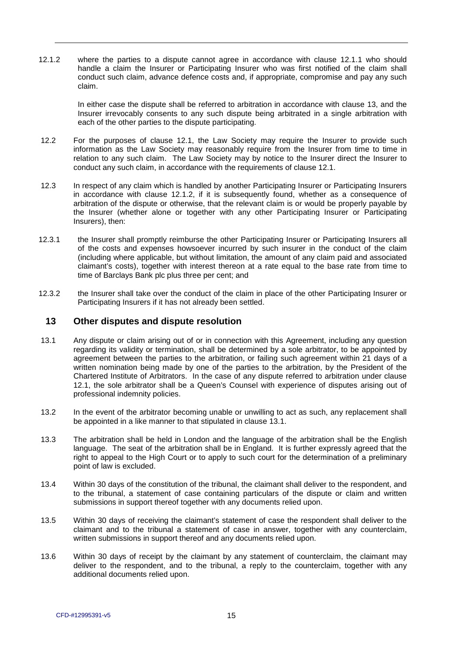<span id="page-15-1"></span>12.1.2 where the parties to a dispute cannot agree in accordance with clause [12.1.1](#page-14-3) who should handle a claim the Insurer or Participating Insurer who was first notified of the claim shall conduct such claim, advance defence costs and, if appropriate, compromise and pay any such claim.

> In either case the dispute shall be referred to arbitration in accordance with clause [13,](#page-15-0) and the Insurer irrevocably consents to any such dispute being arbitrated in a single arbitration with each of the other parties to the dispute participating.

- 12.2 For the purposes of clause [12.1,](#page-14-4) the Law Society may require the Insurer to provide such information as the Law Society may reasonably require from the Insurer from time to time in relation to any such claim. The Law Society may by notice to the Insurer direct the Insurer to conduct any such claim, in accordance with the requirements of claus[e 12.1.](#page-14-4)
- 12.3 In respect of any claim which is handled by another Participating Insurer or Participating Insurers in accordance with clause [12.1.2,](#page-15-1) if it is subsequently found, whether as a consequence of arbitration of the dispute or otherwise, that the relevant claim is or would be properly payable by the Insurer (whether alone or together with any other Participating Insurer or Participating Insurers), then:
- 12.3.1 the Insurer shall promptly reimburse the other Participating Insurer or Participating Insurers all of the costs and expenses howsoever incurred by such insurer in the conduct of the claim (including where applicable, but without limitation, the amount of any claim paid and associated claimant's costs), together with interest thereon at a rate equal to the base rate from time to time of Barclays Bank plc plus three per cent; and
- 12.3.2 the Insurer shall take over the conduct of the claim in place of the other Participating Insurer or Participating Insurers if it has not already been settled.

## <span id="page-15-0"></span>**13 Other disputes and dispute resolution**

- <span id="page-15-2"></span>13.1 Any dispute or claim arising out of or in connection with this Agreement, including any question regarding its validity or termination, shall be determined by a sole arbitrator, to be appointed by agreement between the parties to the arbitration, or failing such agreement within 21 days of a written nomination being made by one of the parties to the arbitration, by the President of the Chartered Institute of Arbitrators. In the case of any dispute referred to arbitration under clause [12.1,](#page-14-4) the sole arbitrator shall be a Queen's Counsel with experience of disputes arising out of professional indemnity policies.
- 13.2 In the event of the arbitrator becoming unable or unwilling to act as such, any replacement shall be appointed in a like manner to that stipulated in claus[e 13.1.](#page-15-2)
- 13.3 The arbitration shall be held in London and the language of the arbitration shall be the English language. The seat of the arbitration shall be in England. It is further expressly agreed that the right to appeal to the High Court or to apply to such court for the determination of a preliminary point of law is excluded.
- 13.4 Within 30 days of the constitution of the tribunal, the claimant shall deliver to the respondent, and to the tribunal, a statement of case containing particulars of the dispute or claim and written submissions in support thereof together with any documents relied upon.
- 13.5 Within 30 days of receiving the claimant's statement of case the respondent shall deliver to the claimant and to the tribunal a statement of case in answer, together with any counterclaim, written submissions in support thereof and any documents relied upon.
- 13.6 Within 30 days of receipt by the claimant by any statement of counterclaim, the claimant may deliver to the respondent, and to the tribunal, a reply to the counterclaim, together with any additional documents relied upon.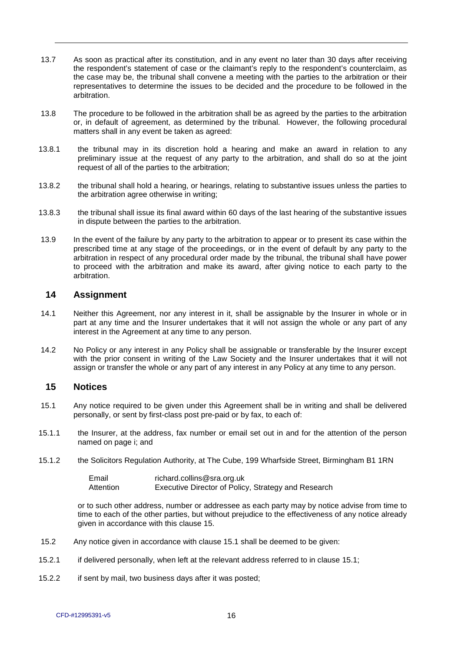- 13.7 As soon as practical after its constitution, and in any event no later than 30 days after receiving the respondent's statement of case or the claimant's reply to the respondent's counterclaim, as the case may be, the tribunal shall convene a meeting with the parties to the arbitration or their representatives to determine the issues to be decided and the procedure to be followed in the arbitration.
- 13.8 The procedure to be followed in the arbitration shall be as agreed by the parties to the arbitration or, in default of agreement, as determined by the tribunal. However, the following procedural matters shall in any event be taken as agreed:
- 13.8.1 the tribunal may in its discretion hold a hearing and make an award in relation to any preliminary issue at the request of any party to the arbitration, and shall do so at the joint request of all of the parties to the arbitration;
- 13.8.2 the tribunal shall hold a hearing, or hearings, relating to substantive issues unless the parties to the arbitration agree otherwise in writing;
- 13.8.3 the tribunal shall issue its final award within 60 days of the last hearing of the substantive issues in dispute between the parties to the arbitration.
- 13.9 In the event of the failure by any party to the arbitration to appear or to present its case within the prescribed time at any stage of the proceedings, or in the event of default by any party to the arbitration in respect of any procedural order made by the tribunal, the tribunal shall have power to proceed with the arbitration and make its award, after giving notice to each party to the arbitration.

## **14 Assignment**

- 14.1 Neither this Agreement, nor any interest in it, shall be assignable by the Insurer in whole or in part at any time and the Insurer undertakes that it will not assign the whole or any part of any interest in the Agreement at any time to any person.
- 14.2 No Policy or any interest in any Policy shall be assignable or transferable by the Insurer except with the prior consent in writing of the Law Society and the Insurer undertakes that it will not assign or transfer the whole or any part of any interest in any Policy at any time to any person.

# <span id="page-16-0"></span>**15 Notices**

- <span id="page-16-1"></span>15.1 Any notice required to be given under this Agreement shall be in writing and shall be delivered personally, or sent by first-class post pre-paid or by fax, to each of:
- 15.1.1 the Insurer, at the address, fax number or email set out in and for the attention of the person named on pag[e i;](#page-1-0) and
- 15.1.2 the Solicitors Regulation Authority, at The Cube, 199 Wharfside Street, Birmingham B1 1RN

| Email     | richard.collins@sra.org.uk                          |
|-----------|-----------------------------------------------------|
| Attention | Executive Director of Policy, Strategy and Research |

or to such other address, number or addressee as each party may by notice advise from time to time to each of the other parties, but without prejudice to the effectiveness of any notice already given in accordance with this claus[e 15.](#page-16-0)

- 15.2 Any notice given in accordance with clause [15.1](#page-16-1) shall be deemed to be given:
- 15.2.1 if delivered personally, when left at the relevant address referred to in claus[e 15.1;](#page-16-1)
- 15.2.2 if sent by mail, two business days after it was posted;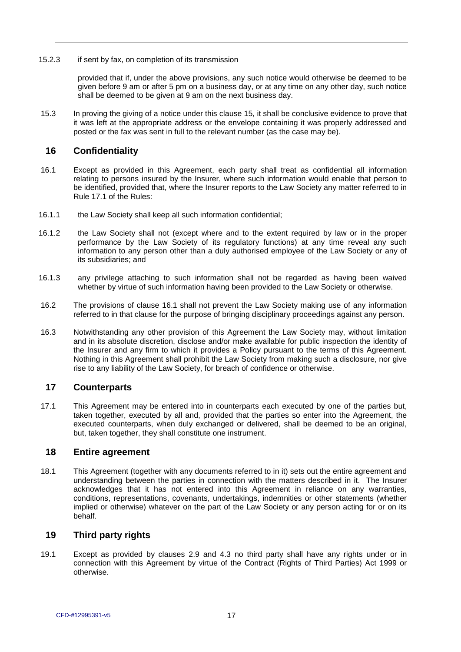15.2.3 if sent by fax, on completion of its transmission

provided that if, under the above provisions, any such notice would otherwise be deemed to be given before 9 am or after 5 pm on a business day, or at any time on any other day, such notice shall be deemed to be given at 9 am on the next business day.

15.3 In proving the giving of a notice under this claus[e 15,](#page-16-0) it shall be conclusive evidence to prove that it was left at the appropriate address or the envelope containing it was properly addressed and posted or the fax was sent in full to the relevant number (as the case may be).

### <span id="page-17-0"></span>**16 Confidentiality**

- <span id="page-17-1"></span>16.1 Except as provided in this Agreement, each party shall treat as confidential all information relating to persons insured by the Insurer, where such information would enable that person to be identified, provided that, where the Insurer reports to the Law Society any matter referred to in Rule [17.1](#page-24-0) of the Rules:
- 16.1.1 the Law Society shall keep all such information confidential;
- 16.1.2 the Law Society shall not (except where and to the extent required by law or in the proper performance by the Law Society of its regulatory functions) at any time reveal any such information to any person other than a duly authorised employee of the Law Society or any of its subsidiaries; and
- 16.1.3 any privilege attaching to such information shall not be regarded as having been waived whether by virtue of such information having been provided to the Law Society or otherwise.
- 16.2 The provisions of clause [16.1](#page-17-1) shall not prevent the Law Society making use of any information referred to in that clause for the purpose of bringing disciplinary proceedings against any person.
- 16.3 Notwithstanding any other provision of this Agreement the Law Society may, without limitation and in its absolute discretion, disclose and/or make available for public inspection the identity of the Insurer and any firm to which it provides a Policy pursuant to the terms of this Agreement. Nothing in this Agreement shall prohibit the Law Society from making such a disclosure, nor give rise to any liability of the Law Society, for breach of confidence or otherwise.

## **17 Counterparts**

17.1 This Agreement may be entered into in counterparts each executed by one of the parties but, taken together, executed by all and, provided that the parties so enter into the Agreement, the executed counterparts, when duly exchanged or delivered, shall be deemed to be an original, but, taken together, they shall constitute one instrument.

### **18 Entire agreement**

18.1 This Agreement (together with any documents referred to in it) sets out the entire agreement and understanding between the parties in connection with the matters described in it. The Insurer acknowledges that it has not entered into this Agreement in reliance on any warranties, conditions, representations, covenants, undertakings, indemnities or other statements (whether implied or otherwise) whatever on the part of the Law Society or any person acting for or on its behalf.

# **19 Third party rights**

19.1 Except as provided by clauses [2.9](#page-7-1) and [4.3](#page-9-8) no third party shall have any rights under or in connection with this Agreement by virtue of the Contract (Rights of Third Parties) Act 1999 or otherwise.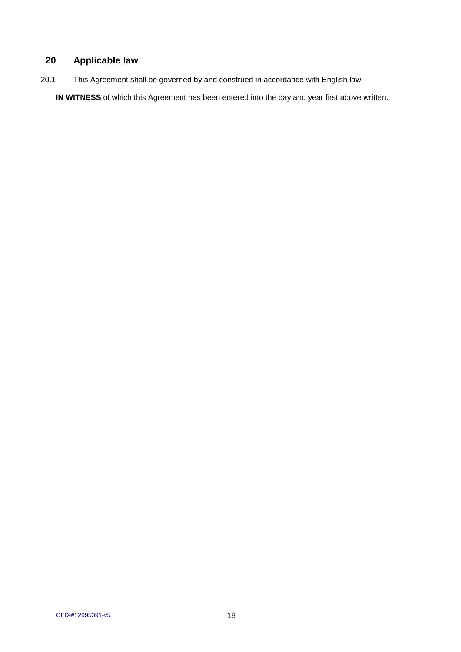# **20 Applicable law**

20.1 This Agreement shall be governed by and construed in accordance with English law.

**IN WITNESS** of which this Agreement has been entered into the day and year first above written.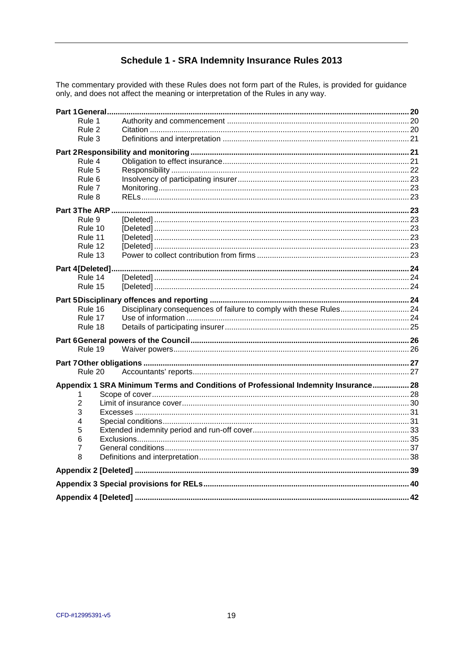# <span id="page-19-0"></span>Schedule 1 - SRA Indemnity Insurance Rules 2013

The commentary provided with these Rules does not form part of the Rules, is provided for guidance only, and does not affect the meaning or interpretation of the Rules in any way.

| Rule 1              |                                                                                    |  |
|---------------------|------------------------------------------------------------------------------------|--|
| Rule 2              |                                                                                    |  |
| Rule 3              |                                                                                    |  |
|                     |                                                                                    |  |
| Rule 4              |                                                                                    |  |
| Rule 5              |                                                                                    |  |
| Rule 6              |                                                                                    |  |
| Rule 7              |                                                                                    |  |
| Rule 8              |                                                                                    |  |
|                     |                                                                                    |  |
| Rule 9              |                                                                                    |  |
| Rule 10             |                                                                                    |  |
| Rule 11             |                                                                                    |  |
| Rule 12             |                                                                                    |  |
| Rule 13             |                                                                                    |  |
|                     |                                                                                    |  |
| Rule 14             |                                                                                    |  |
| Rule 15             |                                                                                    |  |
|                     |                                                                                    |  |
| Rule 16             | Disciplinary consequences of failure to comply with these Rules24                  |  |
| Rule 17             |                                                                                    |  |
| Rule 18             |                                                                                    |  |
|                     |                                                                                    |  |
| Rule 19             |                                                                                    |  |
|                     |                                                                                    |  |
| Rule 20             |                                                                                    |  |
|                     |                                                                                    |  |
|                     | Appendix 1 SRA Minimum Terms and Conditions of Professional Indemnity Insurance 28 |  |
| 1<br>$\overline{2}$ |                                                                                    |  |
| 3                   |                                                                                    |  |
| 4                   |                                                                                    |  |
| 5                   |                                                                                    |  |
| 6                   |                                                                                    |  |
| 7                   |                                                                                    |  |
| 8                   |                                                                                    |  |
|                     |                                                                                    |  |
|                     |                                                                                    |  |
|                     |                                                                                    |  |
|                     |                                                                                    |  |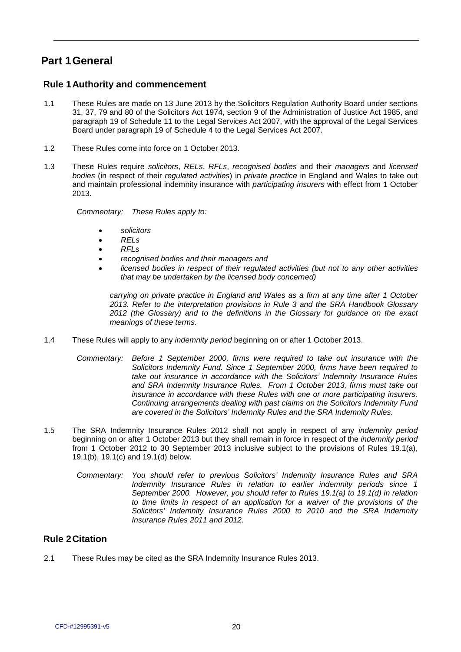# <span id="page-20-0"></span>**Part 1General**

## <span id="page-20-1"></span>**Rule 1Authority and commencement**

- 1.1 These Rules are made on 13 June 2013 by the Solicitors Regulation Authority Board under sections 31, 37, 79 and 80 of the Solicitors Act 1974, section 9 of the Administration of Justice Act 1985, and paragraph 19 of Schedule 11 to the Legal Services Act 2007, with the approval of the Legal Services Board under paragraph 19 of Schedule 4 to the Legal Services Act 2007.
- 1.2 These Rules come into force on 1 October 2013.
- 1.3 These Rules require *solicitors*, *RELs*, *RFLs*, *recognised bodies* and their *managers* and *licensed bodies* (in respect of their *regulated activities*) in *private practice* in England and Wales to take out and maintain professional indemnity insurance with *participating insurers* with effect from 1 October 2013.

*Commentary: These Rules apply to:*

- *solicitors*
- *RELs*
- *RFLs*
- *recognised bodies and their managers and*
- *licensed bodies in respect of their regulated activities (but not to any other activities that may be undertaken by the licensed body concerned)*

*carrying on private practice in England and Wales as a firm at any time after 1 October 2013. Refer to the interpretation provisions in Rule 3 and the SRA Handbook Glossary 2012 (the Glossary) and to the definitions in the Glossary for guidance on the exact meanings of these terms.*

- 1.4 These Rules will apply to any *indemnity period* beginning on or after 1 October 2013.
	- *Commentary: Before 1 September 2000, firms were required to take out insurance with the Solicitors Indemnity Fund. Since 1 September 2000, firms have been required to take out insurance in accordance with the Solicitors' Indemnity Insurance Rules and SRA Indemnity Insurance Rules. From 1 October 2013, firms must take out insurance in accordance with these Rules with one or more participating insurers. Continuing arrangements dealing with past claims on the Solicitors Indemnity Fund are covered in the Solicitors' Indemnity Rules and the SRA Indemnity Rules.*
- 1.5 The SRA Indemnity Insurance Rules 2012 shall not apply in respect of any *indemnity period* beginning on or after 1 October 2013 but they shall remain in force in respect of the *indemnity period* from 1 October 2012 to 30 September 2013 inclusive subject to the provisions of Rules [19.1\(a\),](#page-26-2) [19.1\(b\),](#page-26-3) [19.1\(c\)](#page-26-4) and [19.1\(d\)](#page-26-5) below.
	- *Commentary: You should refer to previous Solicitors' Indemnity Insurance Rules and SRA Indemnity Insurance Rules in relation to earlier indemnity periods since 1 September 2000. However, you should refer to Rules [19.1\(a\)](#page-26-2) to [19.1\(d\)](#page-26-5) in relation to time limits in respect of an application for a waiver of the provisions of the Solicitors' Indemnity Insurance Rules 2000 to 2010 and the SRA Indemnity Insurance Rules 2011 and 2012.*

# <span id="page-20-2"></span>**Rule 2Citation**

2.1 These Rules may be cited as the SRA Indemnity Insurance Rules 2013.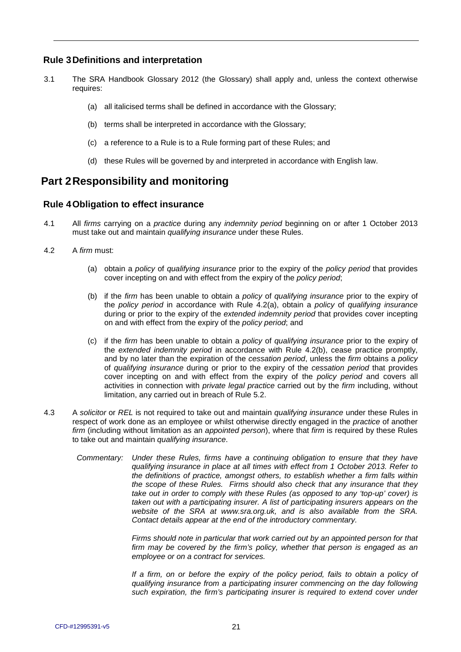# <span id="page-21-0"></span>**Rule 3Definitions and interpretation**

- 3.1 The SRA Handbook Glossary 2012 (the Glossary) shall apply and, unless the context otherwise requires:
	- (a) all italicised terms shall be defined in accordance with the Glossary;
	- (b) terms shall be interpreted in accordance with the Glossary;
	- (c) a reference to a Rule is to a Rule forming part of these Rules; and
	- (d) these Rules will be governed by and interpreted in accordance with English law.

# <span id="page-21-1"></span>**Part 2Responsibility and monitoring**

## <span id="page-21-2"></span>**Rule 4Obligation to effect insurance**

- <span id="page-21-5"></span>4.1 All *firms* carrying on a *practice* during any *indemnity period* beginning on or after 1 October 2013 must take out and maintain *qualifying insurance* under these Rules.
- <span id="page-21-4"></span><span id="page-21-3"></span>4.2 A *firm* must:
	- (a) obtain a *policy* of *qualifying insurance* prior to the expiry of the *policy period* that provides cover incepting on and with effect from the expiry of the *policy period*;
	- (b) if the *firm* has been unable to obtain a *policy* of *qualifying insurance* prior to the expiry of the *policy period* in accordance with Rule 4.[2\(a\),](#page-21-3) obtain a *policy* of *qualifying insurance*  during or prior to the expiry of the *extended indemnity period* that provides cover incepting on and with effect from the expiry of the *policy period*; and
	- (c) if the *firm* has been unable to obtain a *policy* of *qualifying insurance* prior to the expiry of the *extended indemnity period* in accordance with Rule 4.[2\(b\),](#page-21-4) cease practice promptly, and by no later than the expiration of the *cessation period*, unless the *firm* obtains a *policy* of *qualifying insurance* during or prior to the expiry of the *cessation period* that provides cover incepting on and with effect from the expiry of the *policy period* and covers all activities in connection with *private legal practice* carried out by the *firm* including, without limitation, any carried out in breach of Rul[e 5.2.](#page-22-1)
- 4.3 A *solicitor* or *REL* is not required to take out and maintain *qualifying insurance* under these Rules in respect of work done as an employee or whilst otherwise directly engaged in the *practice* of another *firm* (including without limitation as an *appointed person*), where that *firm* is required by these Rules to take out and maintain *qualifying insurance*.
	- *Commentary: Under these Rules, firms have a continuing obligation to ensure that they have qualifying insurance in place at all times with effect from 1 October 2013. Refer to the definitions of practice, amongst others, to establish whether a firm falls within the scope of these Rules. Firms should also check that any insurance that they take out in order to comply with these Rules (as opposed to any 'top-up' cover) is taken out with a participating insurer. A list of participating insurers appears on the website of the SRA at www.sra.org.uk, and is also available from the SRA. Contact details appear at the end of the introductory commentary.*

*Firms should note in particular that work carried out by an appointed person for that firm may be covered by the firm's policy, whether that person is engaged as an employee or on a contract for services.*

If a firm, on or before the expiry of the policy period, fails to obtain a policy of *qualifying insurance from a participating insurer commencing on the day following such expiration, the firm's participating insurer is required to extend cover under*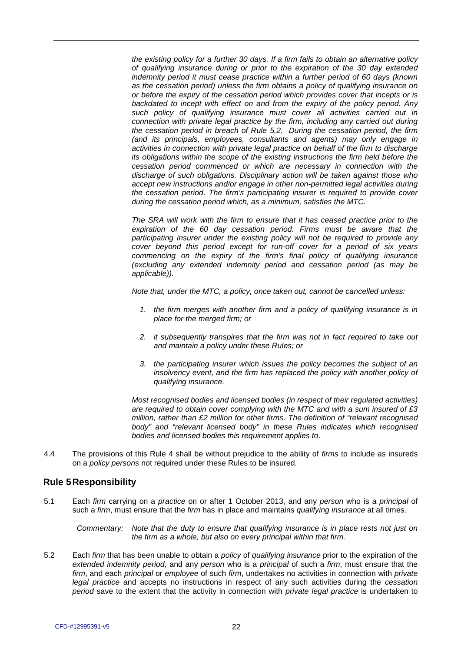*the existing policy for a further 30 days. If a firm fails to obtain an alternative policy of qualifying insurance during or prior to the expiration of the 30 day extended indemnity period it must cease practice within a further period of 60 days (known as the cessation period) unless the firm obtains a policy of qualifying insurance on or before the expiry of the cessation period which provides cover that incepts or is backdated to incept with effect on and from the expiry of the policy period. Any such policy of qualifying insurance must cover all activities carried out in connection with private legal practice by the firm, including any carried out during the cessation period in breach of Rule [5.2.](#page-22-1) During the cessation period, the firm (and its principals, employees, consultants and agents) may only engage in activities in connection with private legal practice on behalf of the firm to discharge its obligations within the scope of the existing instructions the firm held before the cessation period commenced or which are necessary in connection with the discharge of such obligations. Disciplinary action will be taken against those who accept new instructions and/or engage in other non-permitted legal activities during the cessation period. The firm's participating insurer is required to provide cover during the cessation period which, as a minimum, satisfies the MTC.*

*The SRA will work with the firm to ensure that it has ceased practice prior to the expiration of the 60 day cessation period. Firms must be aware that the participating insurer under the existing policy will not be required to provide any cover beyond this period except for run-off cover for a period of six years commencing on the expiry of the firm's final policy of qualifying insurance (excluding any extended indemnity period and cessation period (as may be applicable)).* 

*Note that, under the MTC, a policy, once taken out, cannot be cancelled unless:*

- *1. the firm merges with another firm and a policy of qualifying insurance is in place for the merged firm; or*
- *2. it subsequently transpires that the firm was not in fact required to take out and maintain a policy under these Rules; or*
- *3. the participating insurer which issues the policy becomes the subject of an insolvency event, and the firm has replaced the policy with another policy of qualifying insurance.*

*Most recognised bodies and licensed bodies (in respect of their regulated activities) are required to obtain cover complying with the MTC and with a sum insured of £3 million, rather than £2 million for other firms. The definition of "relevant recognised body" and "relevant licensed body" in these Rules indicates which recognised bodies and licensed bodies this requirement applies to.*

4.4 The provisions of this [Rule 4](#page-21-2) shall be without prejudice to the ability of *firms* to include as insureds on a *policy persons* not required under these Rules to be insured.

# <span id="page-22-0"></span>**Rule 5Responsibility**

5.1 Each *firm* carrying on a *practice* on or after 1 October 2013, and any *person* who is a *principal* of such a *firm*, must ensure that the *firm* has in place and maintains *qualifying insurance* at all times.

*Commentary: Note that the duty to ensure that qualifying insurance is in place rests not just on the firm as a whole, but also on every principal within that firm.* 

<span id="page-22-1"></span>5.2 Each *firm* that has been unable to obtain a *policy* of *qualifying insurance* prior to the expiration of the *extended indemnity period*, and any *person* who is a *principal* of such a *firm*, must ensure that the *firm*, and each *principal* or *employee* of such *firm*, undertakes no activities in connection with *private legal practice* and accepts no instructions in respect of any such activities during the *cessation period* save to the extent that the activity in connection with *private legal practice* is undertaken to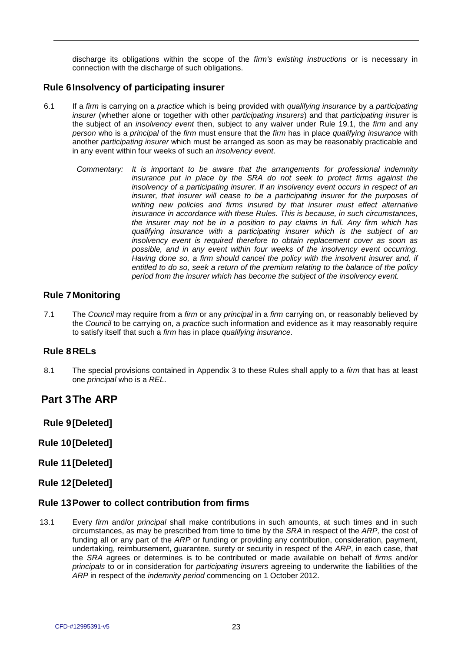discharge its obligations within the scope of the *firm's existing instructions* or is necessary in connection with the discharge of such obligations.

# <span id="page-23-0"></span>**Rule 6Insolvency of participating insurer**

- 6.1 If a *firm* is carrying on a *practice* which is being provided with *qualifying insurance* by a *participating insurer* (whether alone or together with other *participating insurers*) and that *participating insurer* is the subject of an *insolvency event* then, subject to any waiver under Rule [19.1,](#page-26-6) the *firm* and any *person* who is a *principal* of the *firm* must ensure that the *firm* has in place *qualifying insurance* with another *participating insurer* which must be arranged as soon as may be reasonably practicable and in any event within four weeks of such an *insolvency event*.
	- *Commentary: It is important to be aware that the arrangements for professional indemnity insurance put in place by the SRA do not seek to protect firms against the insolvency of a participating insurer. If an insolvency event occurs in respect of an insurer, that insurer will cease to be a participating insurer for the purposes of writing new policies and firms insured by that insurer must effect alternative insurance in accordance with these Rules. This is because, in such circumstances, the insurer may not be in a position to pay claims in full. Any firm which has qualifying insurance with a participating insurer which is the subject of an insolvency event is required therefore to obtain replacement cover as soon as possible, and in any event within four weeks of the insolvency event occurring. Having done so, a firm should cancel the policy with the insolvent insurer and, if entitled to do so, seek a return of the premium relating to the balance of the policy period from the insurer which has become the subject of the insolvency event.*

# <span id="page-23-1"></span>**Rule 7Monitoring**

7.1 The *Council* may require from a *firm* or any *principal* in a *firm* carrying on, or reasonably believed by the *Council* to be carrying on, a *practice* such information and evidence as it may reasonably require to satisfy itself that such a *firm* has in place *qualifying insurance*.

# <span id="page-23-2"></span>**Rule 8RELs**

8.1 The special provisions contained in [Appendix 3](#page-40-0) to these Rules shall apply to a *firm* that has at least one *principal* who is a *REL*.

# <span id="page-23-3"></span>**Part 3The ARP**

<span id="page-23-4"></span>**Rule 9[Deleted]**

- <span id="page-23-5"></span>**Rule 10[Deleted]**
- <span id="page-23-6"></span>**Rule 11[Deleted]**
- <span id="page-23-7"></span>**Rule 12[Deleted]**

## <span id="page-23-8"></span>**Rule 13Power to collect contribution from firms**

<span id="page-23-9"></span>13.1 Every *firm* and/or *principal* shall make contributions in such amounts, at such times and in such circumstances, as may be prescribed from time to time by the *SRA* in respect of the *ARP,* the cost of funding all or any part of the *ARP* or funding or providing any contribution, consideration, payment, undertaking, reimbursement, guarantee, surety or security in respect of the *ARP*, in each case, that the *SRA* agrees or determines is to be contributed or made available on behalf of *firms* and/or *principals* to or in consideration for *participating insurers* agreeing to underwrite the liabilities of the *ARP* in respect of the *indemnity period* commencing on 1 October 2012.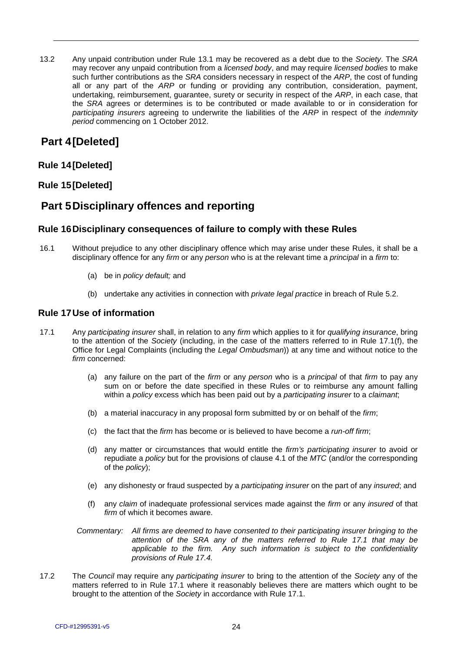13.2 Any unpaid contribution under Rule [13.1](#page-23-9) may be recovered as a debt due to the *Society*. The *SRA* may recover any unpaid contribution from a *licensed body*, and may require *licensed bodies* to make such further contributions as the *SRA* considers necessary in respect of the *ARP*, the cost of funding all or any part of the *ARP* or funding or providing any contribution, consideration, payment, undertaking, reimbursement, guarantee, surety or security in respect of the *ARP*, in each case, that the *SRA* agrees or determines is to be contributed or made available to or in consideration for *participating insurers* agreeing to underwrite the liabilities of the *ARP* in respect of the *indemnity period* commencing on 1 October 2012.

# <span id="page-24-1"></span>**Part 4[Deleted]**

# <span id="page-24-2"></span>**Rule 14[Deleted]**

# <span id="page-24-3"></span>**Rule 15[Deleted]**

# <span id="page-24-4"></span>**Part 5Disciplinary offences and reporting**

# <span id="page-24-5"></span>**Rule 16Disciplinary consequences of failure to comply with these Rules**

- 16.1 Without prejudice to any other disciplinary offence which may arise under these Rules, it shall be a disciplinary offence for any *firm* or any *person* who is at the relevant time a *principal* in a *firm* to:
	- (a) be in *policy default;* and
	- (b) undertake any activities in connection with *private legal practice* in breach of Rul[e 5.2.](#page-22-1)

# <span id="page-24-6"></span>**Rule 17Use of information**

- <span id="page-24-0"></span>17.1 Any *participating insurer* shall, in relation to any *firm* which applies to it for *qualifying insurance*, bring to the attention of the *Society* (including, in the case of the matters referred to in Rule 17.[1\(f\),](#page-24-7) the Office for Legal Complaints (including the *Legal Ombudsman*)) at any time and without notice to the *firm* concerned:
	- (a) any failure on the part of the *firm* or any *person* who is a *principal* of that *firm* to pay any sum on or before the date specified in these Rules or to reimburse any amount falling within a *policy* excess which has been paid out by a *participating insurer* to a *claimant*;
	- (b) a material inaccuracy in any proposal form submitted by or on behalf of the *firm*;
	- (c) the fact that the *firm* has become or is believed to have become a *run-off firm*;
	- (d) any matter or circumstances that would entitle the *firm's participating insurer* to avoid or repudiate a *policy* but for the provisions of claus[e 4.1](#page-31-0) of the *MTC* (and/or the corresponding of the *policy*);
	- (e) any dishonesty or fraud suspected by a *participating insurer* on the part of any *insured*; and
	- (f) any *claim* of inadequate professional services made against the *firm* or any *insured* of that *firm* of which it becomes aware.
	- *Commentary: All firms are deemed to have consented to their participating insurer bringing to the attention of the SRA any of the matters referred to Rule [17.1](#page-24-0) that may be applicable to the firm. Any such information is subject to the confidentiality provisions of Rule [17.4.](#page-25-1)*
- <span id="page-24-8"></span><span id="page-24-7"></span>17.2 The *Council* may require any *participating insurer* to bring to the attention of the *Society* any of the matters referred to in Rule [17.1](#page-24-0) where it reasonably believes there are matters which ought to be brought to the attention of the *Society* in accordance with Rul[e 17.1.](#page-24-0)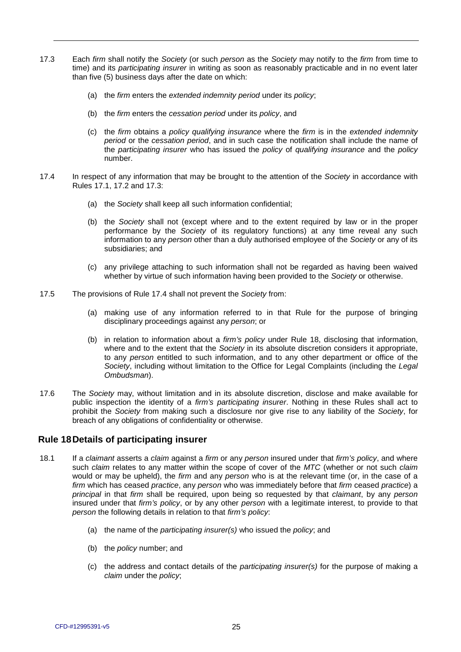- <span id="page-25-2"></span>17.3 Each *firm* shall notify the *Society* (or such *person* as the *Society* may notify to the *firm* from time to time) and its *participating insurer* in writing as soon as reasonably practicable and in no event later than five (5) business days after the date on which:
	- (a) the *firm* enters the *extended indemnity period* under its *policy*;
	- (b) the *firm* enters the *cessation period* under its *policy*, and
	- (c) the *firm* obtains a *policy qualifying insurance* where the *firm* is in the *extended indemnity period* or the *cessation period*, and in such case the notification shall include the name of the *participating insurer* who has issued the *policy* of *qualifying insurance* and the *policy*  number.
- <span id="page-25-1"></span>17.4 In respect of any information that may be brought to the attention of the *Society* in accordance with Rules [17.1,](#page-24-0) [17.2](#page-24-8) and [17.3:](#page-25-2)
	- (a) the *Society* shall keep all such information confidential;
	- (b) the *Society* shall not (except where and to the extent required by law or in the proper performance by the *Society* of its regulatory functions) at any time reveal any such information to any *person* other than a duly authorised employee of the *Society* or any of its subsidiaries; and
	- (c) any privilege attaching to such information shall not be regarded as having been waived whether by virtue of such information having been provided to the *Society* or otherwise.
- 17.5 The provisions of Rul[e 17.4](#page-25-1) shall not prevent the *Society* from:
	- (a) making use of any information referred to in that Rule for the purpose of bringing disciplinary proceedings against any *person*; or
	- (b) in relation to information about a *firm's policy* under [Rule 18,](#page-25-0) disclosing that information, where and to the extent that the *Society* in its absolute discretion considers it appropriate, to any *person* entitled to such information, and to any other department or office of the *Society*, including without limitation to the Office for Legal Complaints (including the *Legal Ombudsman*).
- 17.6 The *Society* may, without limitation and in its absolute discretion, disclose and make available for public inspection the identity of a *firm's participating insurer*. Nothing in these Rules shall act to prohibit the *Society* from making such a disclosure nor give rise to any liability of the *Society*, for breach of any obligations of confidentiality or otherwise.

## <span id="page-25-0"></span>**Rule 18Details of participating insurer**

- 18.1 If a *claimant* asserts a *claim* against a *firm* or any *person* insured under that *firm's policy*, and where such *claim* relates to any matter within the scope of cover of the *MTC* (whether or not such *claim* would or may be upheld), the *firm* and any *person* who is at the relevant time (or, in the case of a *firm* which has ceased *practice*, any *person* who was immediately before that *firm* ceased *practice*) a *principal* in that *firm* shall be required, upon being so requested by that *claimant*, by any *person* insured under that *firm's policy*, or by any other *person* with a legitimate interest, to provide to that *person* the following details in relation to that *firm's policy*:
	- (a) the name of the *participating insurer(s)* who issued the *policy*; and
	- (b) the *policy* number; and
	- (c) the address and contact details of the *participating insurer(s)* for the purpose of making a *claim* under the *policy*;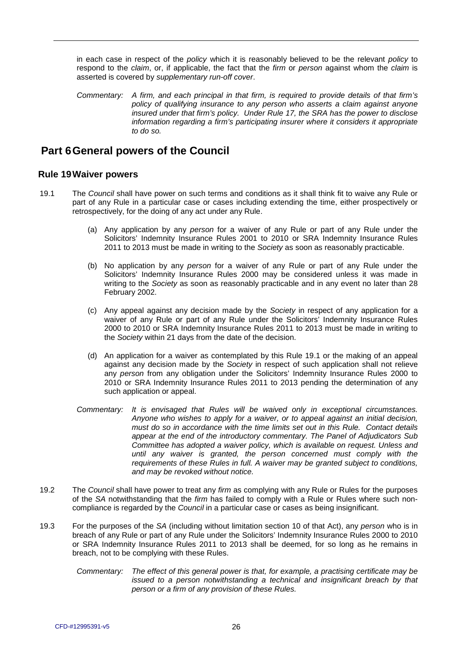in each case in respect of the *policy* which it is reasonably believed to be the relevant *policy* to respond to the *claim*, or, if applicable, the fact that the *firm* or *person* against whom the *claim* is asserted is covered by *supplementary run-off cover*.

*Commentary: A firm, and each principal in that firm, is required to provide details of that firm's policy of qualifying insurance to any person who asserts a claim against anyone insured under that firm's policy. Unde[r Rule 17,](#page-24-6) the SRA has the power to disclose information regarding a firm's participating insurer where it considers it appropriate to do so.*

# <span id="page-26-0"></span>**Part 6General powers of the Council**

## <span id="page-26-1"></span>**Rule 19Waiver powers**

- <span id="page-26-6"></span><span id="page-26-4"></span><span id="page-26-3"></span><span id="page-26-2"></span>19.1 The *Council* shall have power on such terms and conditions as it shall think fit to waive any Rule or part of any Rule in a particular case or cases including extending the time, either prospectively or retrospectively, for the doing of any act under any Rule.
	- (a) Any application by any *person* for a waiver of any Rule or part of any Rule under the Solicitors' Indemnity Insurance Rules 2001 to 2010 or SRA Indemnity Insurance Rules 2011 to 2013 must be made in writing to the *Society* as soon as reasonably practicable.
	- (b) No application by any *person* for a waiver of any Rule or part of any Rule under the Solicitors' Indemnity Insurance Rules 2000 may be considered unless it was made in writing to the *Society* as soon as reasonably practicable and in any event no later than 28 February 2002.
	- (c) Any appeal against any decision made by the *Society* in respect of any application for a waiver of any Rule or part of any Rule under the Solicitors' Indemnity Insurance Rules 2000 to 2010 or SRA Indemnity Insurance Rules 2011 to 2013 must be made in writing to the *Society* within 21 days from the date of the decision.
	- (d) An application for a waiver as contemplated by this Rule [19.1](#page-26-6) or the making of an appeal against any decision made by the *Society* in respect of such application shall not relieve any *person* from any obligation under the Solicitors' Indemnity Insurance Rules 2000 to 2010 or SRA Indemnity Insurance Rules 2011 to 2013 pending the determination of any such application or appeal.
	- *Commentary: It is envisaged that Rules will be waived only in exceptional circumstances. Anyone who wishes to apply for a waiver, or to appeal against an initial decision, must do so in accordance with the time limits set out in this Rule. Contact details appear at the end of the introductory commentary. The Panel of Adjudicators Sub Committee has adopted a waiver policy, which is available on request. Unless and until any waiver is granted, the person concerned must comply with the requirements of these Rules in full. A waiver may be granted subject to conditions, and may be revoked without notice.*
- <span id="page-26-5"></span>19.2 The *Council* shall have power to treat any *firm* as complying with any Rule or Rules for the purposes of the *SA* notwithstanding that the *firm* has failed to comply with a Rule or Rules where such noncompliance is regarded by the *Council* in a particular case or cases as being insignificant.
- 19.3 For the purposes of the *SA* (including without limitation section 10 of that Act), any *person* who is in breach of any Rule or part of any Rule under the Solicitors' Indemnity Insurance Rules 2000 to 2010 or SRA Indemnity Insurance Rules 2011 to 2013 shall be deemed, for so long as he remains in breach, not to be complying with these Rules.
	- *Commentary: The effect of this general power is that, for example, a practising certificate may be issued to a person notwithstanding a technical and insignificant breach by that person or a firm of any provision of these Rules.*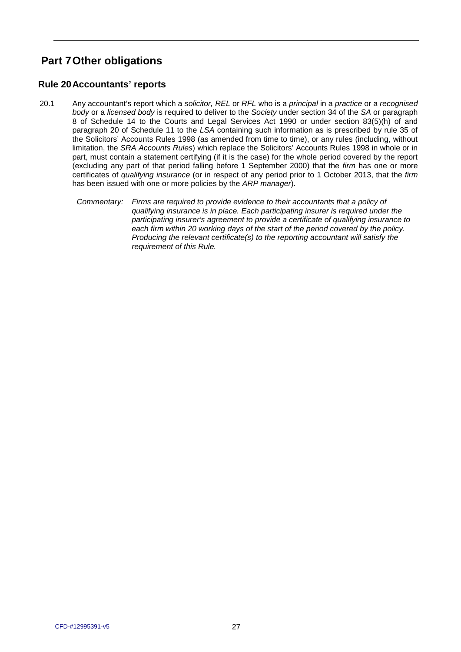# <span id="page-27-0"></span>**Part 7Other obligations**

# <span id="page-27-1"></span>**Rule 20Accountants' reports**

- 20.1 Any accountant's report which a *solicitor, REL* or *RFL* who is a *principal* in a *practice* or a *recognised body* or a *licensed body* is required to deliver to the *Society* under section 34 of the *SA* or paragraph 8 of Schedule 14 to the Courts and Legal Services Act 1990 or under section 83(5)(h) of and paragraph 20 of Schedule 11 to the *LSA* containing such information as is prescribed by rule 35 of the Solicitors' Accounts Rules 1998 (as amended from time to time), or any rules (including, without limitation, the *SRA Accounts Rules*) which replace the Solicitors' Accounts Rules 1998 in whole or in part, must contain a statement certifying (if it is the case) for the whole period covered by the report (excluding any part of that period falling before 1 September 2000) that the *firm* has one or more certificates of *qualifying insurance* (or in respect of any period prior to 1 October 2013, that the *firm* has been issued with one or more policies by the *ARP manager*).
	- *Commentary: Firms are required to provide evidence to their accountants that a policy of qualifying insurance is in place. Each participating insurer is required under the participating insurer's agreement to provide a certificate of qualifying insurance to each firm within 20 working days of the start of the period covered by the policy. Producing the relevant certificate(s) to the reporting accountant will satisfy the requirement of this Rule.*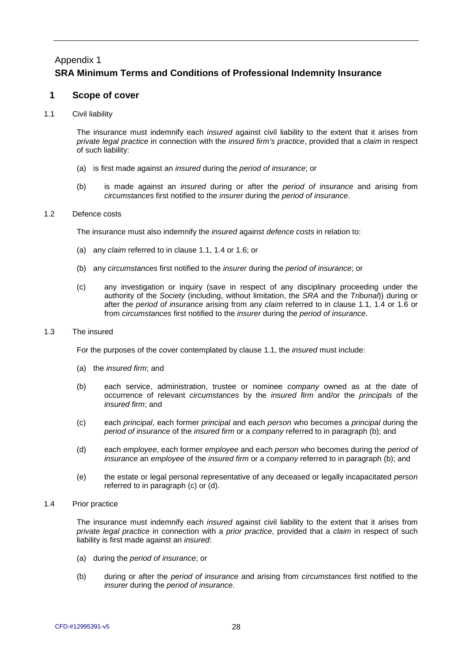# <span id="page-28-0"></span>Appendix 1 **SRA Minimum Terms and Conditions of Professional Indemnity Insurance**

# <span id="page-28-1"></span>**1 Scope of cover**

## <span id="page-28-2"></span>1.1 Civil liability

The insurance must indemnify each *insured* against civil liability to the extent that it arises from *private legal practice* in connection with the *insured firm's practice*, provided that a *claim* in respect of such liability:

- (a) is first made against an *insured* during the *period of insurance*; or
- (b) is made against an *insured* during or after the *period of insurance* and arising from *circumstances* first notified to the *insurer* during the *period of insurance*.

### 1.2 Defence costs

The insurance must also indemnify the *insured* against *defence costs* in relation to:

- (a) any *claim* referred to in claus[e 1.1,](#page-28-2) [1.4](#page-28-3) o[r 1.6;](#page-29-0) or
- (b) any *circumstances* first notified to the *insurer* during the *period of insurance*; or
- (c) any investigation or inquiry (save in respect of any disciplinary proceeding under the authority of the *Society* (including, without limitation, the *SRA* and the *Tribunal*)) during or after the *period of insurance* arising from any *claim* referred to in clause [1.1,](#page-28-2) [1.4](#page-28-3) or [1.6](#page-29-0) or from *circumstances* first notified to the *insurer* during the *period of insurance*.

## 1.3 The insured

For the purposes of the cover contemplated by claus[e 1.1,](#page-28-2) the *insured* must include:

- (a) the *insured firm*; and
- <span id="page-28-4"></span>(b) each service, administration, trustee or nominee *company* owned as at the date of occurrence of relevant *circumstances* by the *insured firm* and/or the *principals* of the *insured firm*; and
- (c) each *principal*, each former *principal* and each *person* who becomes a *principal* during the *period of insurance* of the *insured firm* or a *company* referred to in paragraph (b); and
- <span id="page-28-5"></span>(d) each *employee*, each former *employee* and each *person* who becomes during the *period of insurance* an *employee* of the *insured firm* or a *company* referred to in paragraph (b); and
- (e) the estate or legal personal representative of any deceased or legally incapacitated *person* referred to in paragraph (c) or (d).

## <span id="page-28-3"></span>1.4 Prior practice

The insurance must indemnify each *insured* against civil liability to the extent that it arises from *private legal practice* in connection with a *prior practice*, provided that a *claim* in respect of such liability is first made against an *insured*:

- (a) during the *period of insurance*; or
- (b) during or after the *period of insurance* and arising from *circumstances* first notified to the *insurer* during the *period of insurance*.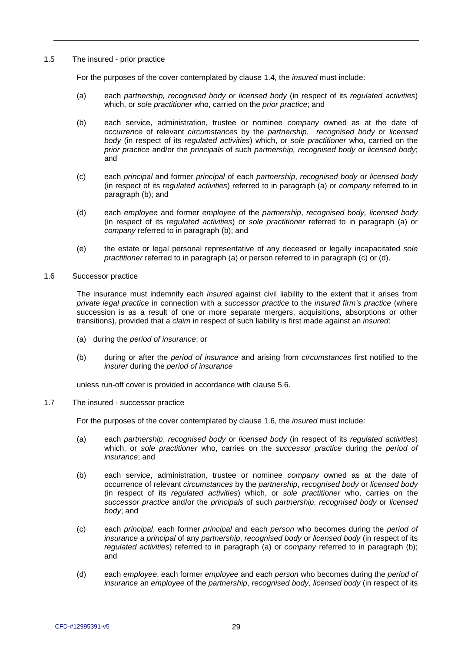#### 1.5 The insured - prior practice

For the purposes of the cover contemplated by claus[e 1.4,](#page-28-3) the *insured* must include:

- (a) each *partnership, recognised body* or *licensed body* (in respect of its *regulated activities*) which, or *sole practitioner* who, carried on the *prior practice*; and
- <span id="page-29-1"></span>(b) each service, administration, trustee or nominee *company* owned as at the date of *occurrence* of relevant *circumstances* by the *partnership*, *recognised body* or *licensed body* (in respect of its *regulated activities*) which, or *sole practitioner* who, carried on the *prior practice* and/or the *principals* of such *partnership, recognised body* or *licensed body*; and
- (c) each *principal* and former *principal* of each *partnership*, *recognised body* or *licensed body*  (in respect of its *regulated activities*) referred to in paragraph (a) or *company* referred to in paragraph (b); and
- <span id="page-29-3"></span>(d) each *employee* and former *employee* of the *partnership*, *recognised body, licensed body*  (in respect of its *regulated activities*) or *sole practitioner* referred to in paragraph (a) or *company* referred to in paragraph (b); and
- (e) the estate or legal personal representative of any deceased or legally incapacitated *sole practitioner* referred to in paragraph (a) or person referred to in paragraph (c) or (d).
- <span id="page-29-0"></span>1.6 Successor practice

The insurance must indemnify each *insured* against civil liability to the extent that it arises from *private legal practice* in connection with a *successor practice* to the *insured firm's practice* (where succession is as a result of one or more separate mergers, acquisitions, absorptions or other transitions), provided that a *claim* in respect of such liability is first made against an *insured*:

- (a) during the *period of insurance*; or
- (b) during or after the *period of insurance* and arising from *circumstances* first notified to the *insurer* during the *period of insurance*

unless run-off cover is provided in accordance with clause [5.6.](#page-34-1)

#### 1.7 The insured - successor practice

For the purposes of the cover contemplated by claus[e 1.6,](#page-29-0) the *insured* must include:

- (a) each *partnership*, *recognised body* or *licensed body* (in respect of its *regulated activities*) which, or *sole practitioner* who, carries on the *successor practice* during the *period of insurance*; and
- <span id="page-29-2"></span>(b) each service, administration, trustee or nominee *company* owned as at the date of occurrence of relevant *circumstances* by the *partnership*, *recognised body* or *licensed body*  (in respect of its *regulated activities*) which, or *sole practitioner* who, carries on the *successor practice* and/or the *principals* of such *partnership*, *recognised body* or *licensed body*; and
- (c) each *principal*, each former *principal* and each *person* who becomes during the *period of insurance* a *principal* of any *partnership*, *recognised body* or *licensed body* (in respect of its *regulated activities*) referred to in paragraph (a) or *company* referred to in paragraph (b); and
- <span id="page-29-4"></span>(d) each *employee*, each former *employee* and each *person* who becomes during the *period of insurance* an *employee* of the *partnership*, *recognised body, licensed body* (in respect of its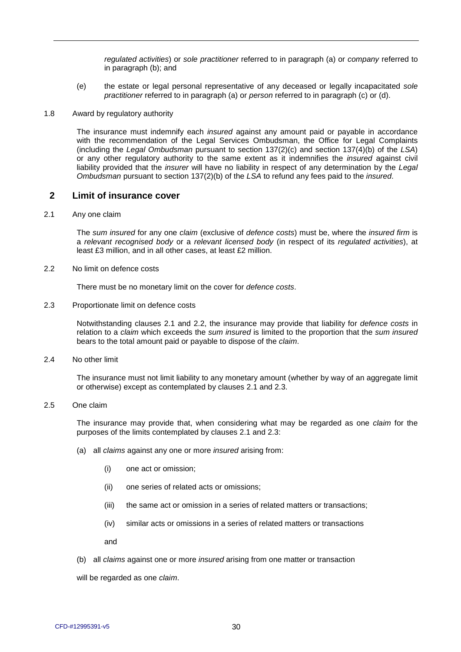*regulated activities*) or *sole practitioner* referred to in paragraph (a) or *company* referred to in paragraph (b); and

- (e) the estate or legal personal representative of any deceased or legally incapacitated *sole practitioner* referred to in paragraph (a) or *person* referred to in paragraph (c) or (d).
- <span id="page-30-4"></span>1.8 Award by regulatory authority

The insurance must indemnify each *insured* against any amount paid or payable in accordance with the recommendation of the Legal Services Ombudsman, the Office for Legal Complaints (including the *Legal Ombudsman* pursuant to section 137(2)(c) and section 137(4)(b) of the *LSA*) or any other regulatory authority to the same extent as it indemnifies the *insured* against civil liability provided that the *insurer* will have no liability in respect of any determination by the *Legal Ombudsman* pursuant to section 137(2)(b) of the *LSA* to refund any fees paid to the *insured*.

## <span id="page-30-0"></span>**2 Limit of insurance cover**

<span id="page-30-1"></span>2.1 Any one claim

The *sum insured* for any one *claim* (exclusive of *defence costs*) must be, where the *insured firm* is a *relevant recognised body* or a *relevant licensed body* (in respect of its *regulated activities*), at least £3 million, and in all other cases, at least £2 million.

<span id="page-30-2"></span>2.2 No limit on defence costs

There must be no monetary limit on the cover for *defence costs*.

<span id="page-30-3"></span>2.3 Proportionate limit on defence costs

Notwithstanding clauses [2.1](#page-30-1) and [2.2,](#page-30-2) the insurance may provide that liability for *defence costs* in relation to a *claim* which exceeds the *sum insured* is limited to the proportion that the *sum insured* bears to the total amount paid or payable to dispose of the *claim*.

2.4 No other limit

The insurance must not limit liability to any monetary amount (whether by way of an aggregate limit or otherwise) except as contemplated by clauses [2.1](#page-30-1) and [2.3.](#page-30-3)

2.5 One claim

The insurance may provide that, when considering what may be regarded as one *claim* for the purposes of the limits contemplated by clauses [2.1](#page-30-1) an[d 2.3:](#page-30-3)

- (a) all *claims* against any one or more *insured* arising from:
	- (i) one act or omission;
	- (ii) one series of related acts or omissions;
	- (iii) the same act or omission in a series of related matters or transactions;
	- (iv) similar acts or omissions in a series of related matters or transactions

and

(b) all *claims* against one or more *insured* arising from one matter or transaction

will be regarded as one *claim*.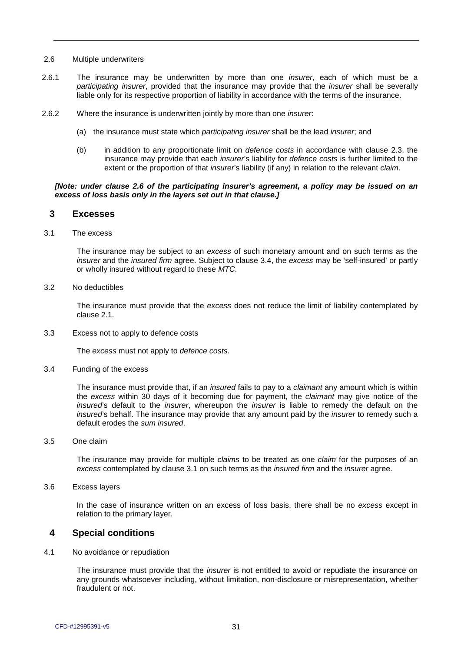- 2.6 Multiple underwriters
- 2.6.1 The insurance may be underwritten by more than one *insurer*, each of which must be a *participating insurer*, provided that the insurance may provide that the *insurer* shall be severally liable only for its respective proportion of liability in accordance with the terms of the insurance.
- 2.6.2 Where the insurance is underwritten jointly by more than one *insurer*:
	- (a) the insurance must state which *participating insurer* shall be the lead *insurer*; and
	- (b) in addition to any proportionate limit on *defence costs* in accordance with clause [2.3,](#page-30-3) the insurance may provide that each *insurer*'s liability for *defence costs* is further limited to the extent or the proportion of that *insurer*'s liability (if any) in relation to the relevant *claim*.

#### *[Note: under clause 2.6 of the participating insurer's agreement, a policy may be issued on an excess of loss basis only in the layers set out in that clause.]*

### <span id="page-31-1"></span>**3 Excesses**

<span id="page-31-4"></span>3.1 The excess

The insurance may be subject to an *excess* of such monetary amount and on such terms as the *insurer* and the *insured firm* agree. Subject to clause [3.4,](#page-31-3) the *excess* may be 'self-insured' or partly or wholly insured without regard to these *MTC*.

3.2 No deductibles

The insurance must provide that the *excess* does not reduce the limit of liability contemplated by claus[e 2.1.](#page-30-1)

3.3 Excess not to apply to defence costs

The *excess* must not apply to *defence costs*.

<span id="page-31-3"></span>3.4 Funding of the excess

The insurance must provide that, if an *insured* fails to pay to a *claimant* any amount which is within the *excess* within 30 days of it becoming due for payment, the *claimant* may give notice of the *insured*'s default to the *insurer*, whereupon the *insurer* is liable to remedy the default on the *insured*'s behalf. The insurance may provide that any amount paid by the *insurer* to remedy such a default erodes the *sum insured*.

3.5 One claim

The insurance may provide for multiple *claims* to be treated as one *claim* for the purposes of an *excess* contemplated by claus[e 3.1](#page-31-4) on such terms as the *insured firm* and the *insurer* agree.

3.6 Excess layers

In the case of insurance written on an excess of loss basis, there shall be no *excess* except in relation to the primary layer.

## <span id="page-31-2"></span>**4 Special conditions**

<span id="page-31-0"></span>4.1 No avoidance or repudiation

The insurance must provide that the *insurer* is not entitled to avoid or repudiate the insurance on any grounds whatsoever including, without limitation, non-disclosure or misrepresentation, whether fraudulent or not.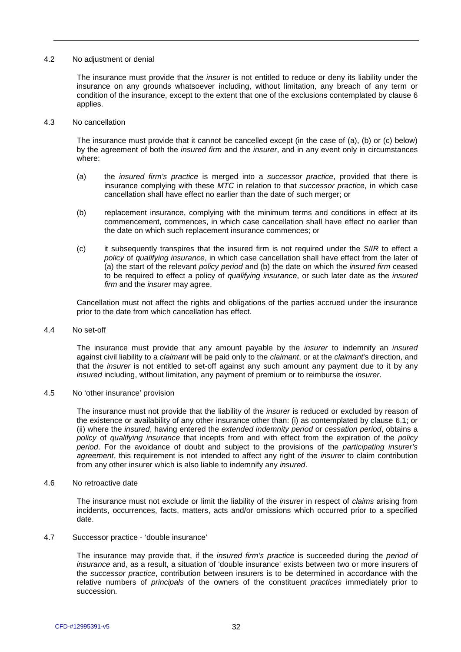#### 4.2 No adjustment or denial

The insurance must provide that the *insurer* is not entitled to reduce or deny its liability under the insurance on any grounds whatsoever including, without limitation, any breach of any term or condition of the insurance, except to the extent that one of the exclusions contemplated by claus[e 6](#page-35-0) applies.

#### 4.3 No cancellation

The insurance must provide that it cannot be cancelled except (in the case of (a), (b) or (c) below) by the agreement of both the *insured firm* and the *insurer*, and in any event only in circumstances where:

- (a) the *insured firm's practice* is merged into a *successor practice*, provided that there is insurance complying with these *MTC* in relation to that *successor practice*, in which case cancellation shall have effect no earlier than the date of such merger; or
- (b) replacement insurance, complying with the minimum terms and conditions in effect at its commencement, commences, in which case cancellation shall have effect no earlier than the date on which such replacement insurance commences; or
- (c) it subsequently transpires that the insured firm is not required under the *SIIR* to effect a *policy* of *qualifying insurance*, in which case cancellation shall have effect from the later of (a) the start of the relevant *policy period* and (b) the date on which the *insured firm* ceased to be required to effect a policy of *qualifying insurance*, or such later date as the *insured firm* and the *insurer* may agree.

Cancellation must not affect the rights and obligations of the parties accrued under the insurance prior to the date from which cancellation has effect.

#### 4.4 No set-off

The insurance must provide that any amount payable by the *insurer* to indemnify an *insured* against civil liability to a *claimant* will be paid only to the *claimant*, or at the *claimant*'s direction, and that the *insurer* is not entitled to set-off against any such amount any payment due to it by any *insured* including, without limitation, any payment of premium or to reimburse the *insurer*.

#### <span id="page-32-0"></span>4.5 No 'other insurance' provision

The insurance must not provide that the liability of the *insurer* is reduced or excluded by reason of the existence or availability of any other insurance other than: (i) as contemplated by clause [6.1;](#page-35-1) or (ii) where the *insured*, having entered the *extended indemnity period* or *cessation period*, obtains a *policy* of *qualifying insurance* that incepts from and with effect from the expiration of the *policy period*. For the avoidance of doubt and subject to the provisions of the *participating insurer's agreement*, this requirement is not intended to affect any right of the *insurer* to claim contribution from any other insurer which is also liable to indemnify any *insured*.

#### 4.6 No retroactive date

The insurance must not exclude or limit the liability of the *insurer* in respect of *claims* arising from incidents, occurrences, facts, matters, acts and/or omissions which occurred prior to a specified date.

### 4.7 Successor practice - 'double insurance'

The insurance may provide that, if the *insured firm's practice* is succeeded during the *period of insurance* and, as a result, a situation of 'double insurance' exists between two or more insurers of the *successor practice*, contribution between insurers is to be determined in accordance with the relative numbers of *principals* of the owners of the constituent *practices* immediately prior to succession.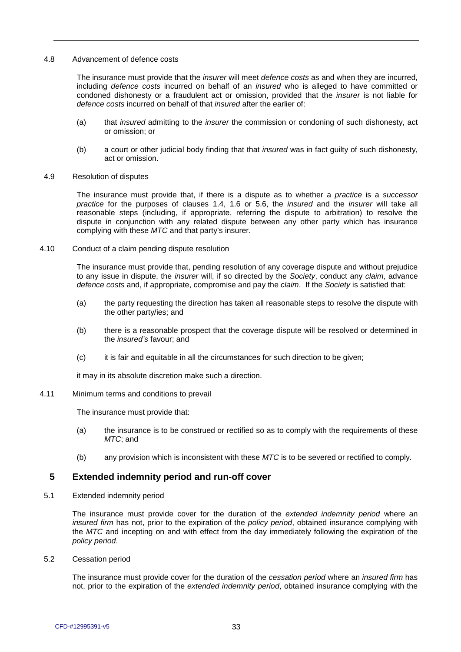#### 4.8 Advancement of defence costs

The insurance must provide that the *insurer* will meet *defence costs* as and when they are incurred, including *defence costs* incurred on behalf of an *insured* who is alleged to have committed or condoned dishonesty or a fraudulent act or omission, provided that the *insurer* is not liable for *defence costs* incurred on behalf of that *insured* after the earlier of:

- (a) that *insured* admitting to the *insurer* the commission or condoning of such dishonesty, act or omission; or
- (b) a court or other judicial body finding that that *insured* was in fact guilty of such dishonesty, act or omission.

#### <span id="page-33-3"></span>4.9 Resolution of disputes

The insurance must provide that, if there is a dispute as to whether a *practice* is a *successor practice* for the purposes of clauses [1.4,](#page-28-3) [1.6](#page-29-0) or [5.6,](#page-34-1) the *insured* and the *insurer* will take all reasonable steps (including, if appropriate, referring the dispute to arbitration) to resolve the dispute in conjunction with any related dispute between any other party which has insurance complying with these *MTC* and that party's insurer.

<span id="page-33-4"></span>4.10 Conduct of a claim pending dispute resolution

The insurance must provide that, pending resolution of any coverage dispute and without prejudice to any issue in dispute, the *insurer* will, if so directed by the *Society*, conduct any *claim*, advance *defence costs* and, if appropriate, compromise and pay the *claim*. If the *Society* is satisfied that:

- (a) the party requesting the direction has taken all reasonable steps to resolve the dispute with the other party/ies; and
- (b) there is a reasonable prospect that the coverage dispute will be resolved or determined in the *insured's* favour; and
- (c) it is fair and equitable in all the circumstances for such direction to be given;

it may in its absolute discretion make such a direction.

4.11 Minimum terms and conditions to prevail

The insurance must provide that:

- (a) the insurance is to be construed or rectified so as to comply with the requirements of these *MTC*; and
- (b) any provision which is inconsistent with these *MTC* is to be severed or rectified to comply.

# <span id="page-33-0"></span>**5 Extended indemnity period and run-off cover**

<span id="page-33-1"></span>5.1 Extended indemnity period

The insurance must provide cover for the duration of the *extended indemnity period* where an *insured firm* has not, prior to the expiration of the *policy period*, obtained insurance complying with the *MTC* and incepting on and with effect from the day immediately following the expiration of the *policy period*.

<span id="page-33-2"></span>5.2 Cessation period

The insurance must provide cover for the duration of the *cessation period* where an *insured firm* has not, prior to the expiration of the *extended indemnity period*, obtained insurance complying with the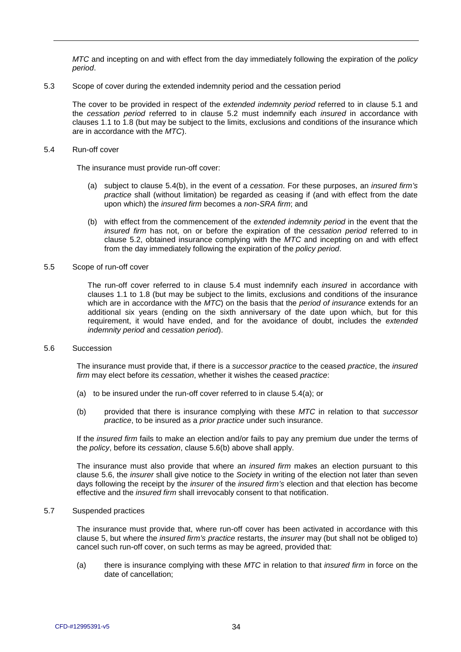*MTC* and incepting on and with effect from the day immediately following the expiration of the *policy period*.

5.3 Scope of cover during the extended indemnity period and the cessation period

The cover to be provided in respect of the *extended indemnity period* referred to in clause [5.1](#page-33-1) and the *cessation period* referred to in clause [5.2](#page-33-2) must indemnify each *insured* in accordance with clauses [1.1](#page-28-2) to [1.8](#page-30-4) (but may be subject to the limits, exclusions and conditions of the insurance which are in accordance with the *MTC*).

<span id="page-34-0"></span>5.4 Run-off cover

<span id="page-34-2"></span>The insurance must provide run-off cover:

- (a) subject to clause [5.4\(b\),](#page-34-0) in the event of a *cessation*. For these purposes, an *insured firm's practice* shall (without limitation) be regarded as ceasing if (and with effect from the date upon which) the *insured firm* becomes a *non-SRA firm*; and
- (b) with effect from the commencement of the *extended indemnity period* in the event that the *insured firm* has not, on or before the expiration of the *cessation period* referred to in clause [5.2,](#page-33-2) obtained insurance complying with the *MTC* and incepting on and with effect from the day immediately following the expiration of the *policy period*.
- 5.5 Scope of run-off cover

The run-off cover referred to in clause [5.4](#page-34-0) must indemnify each *insured* in accordance with clauses [1.1](#page-28-2) to [1.8](#page-30-4) (but may be subject to the limits, exclusions and conditions of the insurance which are in accordance with the *MTC*) on the basis that the *period of insurance* extends for an additional six years (ending on the sixth anniversary of the date upon which, but for this requirement, it would have ended, and for the avoidance of doubt, includes the *extended indemnity period* and *cessation period*).

<span id="page-34-1"></span>5.6 Succession

The insurance must provide that, if there is a *successor practice* to the ceased *practice*, the *insured firm* may elect before its *cessation*, whether it wishes the ceased *practice*:

- (a) to be insured under the run-off cover referred to in claus[e 5.4\(a\);](#page-34-2) or
- <span id="page-34-3"></span>(b) provided that there is insurance complying with these *MTC* in relation to that *successor practice*, to be insured as a *prior practice* under such insurance.

If the *insured firm* fails to make an election and/or fails to pay any premium due under the terms of the *policy*, before its *cessation*, clause 5.[6\(b\)](#page-34-3) above shall apply.

The insurance must also provide that where an *insured firm* makes an election pursuant to this clause [5.6,](#page-34-1) the *insurer* shall give notice to the *Society* in writing of the election not later than seven days following the receipt by the *insurer* of the *insured firm's* election and that election has become effective and the *insured firm* shall irrevocably consent to that notification.

#### 5.7 Suspended practices

The insurance must provide that, where run-off cover has been activated in accordance with this claus[e 5,](#page-33-0) but where the *insured firm's practice* restarts, the *insurer* may (but shall not be obliged to) cancel such run-off cover, on such terms as may be agreed, provided that:

(a) there is insurance complying with these *MTC* in relation to that *insured firm* in force on the date of cancellation;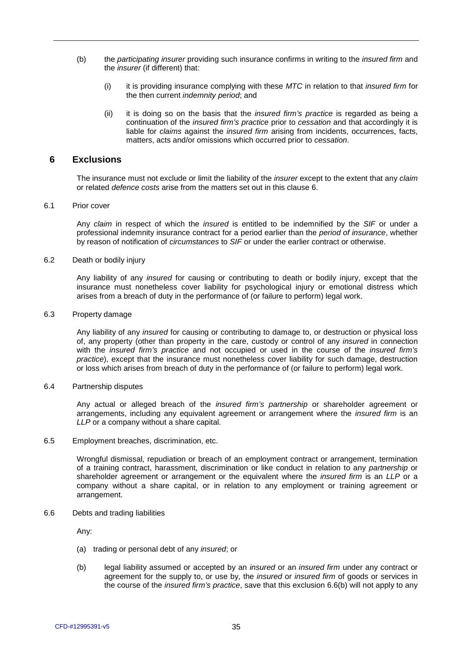- (b) the *participating insurer* providing such insurance confirms in writing to the *insured firm* and the *insurer* (if different) that:
	- (i) it is providing insurance complying with these *MTC* in relation to that *insured firm* for the then current *indemnity period*; and
	- (ii) it is doing so on the basis that the *insured firm's practice* is regarded as being a continuation of the *insured firm's practice* prior to *cessation* and that accordingly it is liable for *claims* against the *insured firm* arising from incidents, occurrences, facts, matters, acts and/or omissions which occurred prior to *cessation*.

## <span id="page-35-0"></span>**6 Exclusions**

The insurance must not exclude or limit the liability of the *insurer* except to the extent that any *claim* or related *defence costs* arise from the matters set out in this clause [6.](#page-35-0)

#### <span id="page-35-1"></span>6.1 Prior cover

Any *claim* in respect of which the *insured* is entitled to be indemnified by the *SIF* or under a professional indemnity insurance contract for a period earlier than the *period of insurance*, whether by reason of notification of *circumstances* to *SIF* or under the earlier contract or otherwise.

### <span id="page-35-2"></span>6.2 Death or bodily injury

Any liability of any *insured* for causing or contributing to death or bodily injury, except that the insurance must nonetheless cover liability for psychological injury or emotional distress which arises from a breach of duty in the performance of (or failure to perform) legal work.

#### 6.3 Property damage

Any liability of any *insured* for causing or contributing to damage to, or destruction or physical loss of, any property (other than property in the care, custody or control of any *insured* in connection with the *insured firm's practice* and not occupied or used in the course of the *insured firm's practice*), except that the insurance must nonetheless cover liability for such damage, destruction or loss which arises from breach of duty in the performance of (or failure to perform) legal work.

6.4 Partnership disputes

Any actual or alleged breach of the *insured firm's partnership* or shareholder agreement or arrangements, including any equivalent agreement or arrangement where the *insured firm* is an *LLP* or a company without a share capital.

#### 6.5 Employment breaches, discrimination, etc.

Wrongful dismissal, repudiation or breach of an employment contract or arrangement, termination of a training contract, harassment, discrimination or like conduct in relation to any *partnership* or shareholder agreement or arrangement or the equivalent where the *insured firm* is an *LLP* or a company without a share capital, or in relation to any employment or training agreement or arrangement.

6.6 Debts and trading liabilities

Any:

- (a) trading or personal debt of any *insured*; or
- (b) legal liability assumed or accepted by an *insured* or an *insured firm* under any contract or agreement for the supply to, or use by, the *insured* or *insured firm* of goods or services in the course of the *insured firm's practice*, save that this exclusion 6.6(b) will not apply to any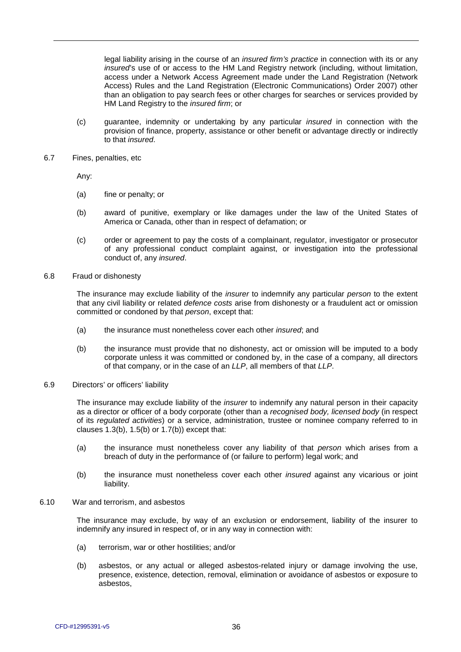legal liability arising in the course of an *insured firm's practice* in connection with its or any *insured*'s use of or access to the HM Land Registry network (including, without limitation, access under a Network Access Agreement made under the Land Registration (Network Access) Rules and the Land Registration (Electronic Communications) Order 2007) other than an obligation to pay search fees or other charges for searches or services provided by HM Land Registry to the *insured firm*; or

- (c) guarantee, indemnity or undertaking by any particular *insured* in connection with the provision of finance, property, assistance or other benefit or advantage directly or indirectly to that *insured*.
- 6.7 Fines, penalties, etc

Any:

- (a) fine or penalty; or
- (b) award of punitive, exemplary or like damages under the law of the United States of America or Canada, other than in respect of defamation; or
- (c) order or agreement to pay the costs of a complainant, regulator, investigator or prosecutor of any professional conduct complaint against, or investigation into the professional conduct of, any *insured*.
- 6.8 Fraud or dishonesty

The insurance may exclude liability of the *insurer* to indemnify any particular *person* to the extent that any civil liability or related *defence costs* arise from dishonesty or a fraudulent act or omission committed or condoned by that *person*, except that:

- (a) the insurance must nonetheless cover each other *insured*; and
- (b) the insurance must provide that no dishonesty, act or omission will be imputed to a body corporate unless it was committed or condoned by, in the case of a company, all directors of that company, or in the case of an *LLP*, all members of that *LLP*.
- 6.9 Directors' or officers' liability

The insurance may exclude liability of the *insurer* to indemnify any natural person in their capacity as a director or officer of a body corporate (other than a *recognised body, licensed body* (in respect of its *regulated activities*) or a service, administration, trustee or nominee company referred to in clauses  $1.3(b)$ ,  $1.5(b)$  or  $1.7(b)$ ) except that:

- (a) the insurance must nonetheless cover any liability of that *person* which arises from a breach of duty in the performance of (or failure to perform) legal work; and
- (b) the insurance must nonetheless cover each other *insured* against any vicarious or joint liability.
- 6.10 War and terrorism, and asbestos

The insurance may exclude, by way of an exclusion or endorsement, liability of the insurer to indemnify any insured in respect of, or in any way in connection with:

- (a) terrorism, war or other hostilities; and/or
- (b) asbestos, or any actual or alleged asbestos-related injury or damage involving the use, presence, existence, detection, removal, elimination or avoidance of asbestos or exposure to asbestos,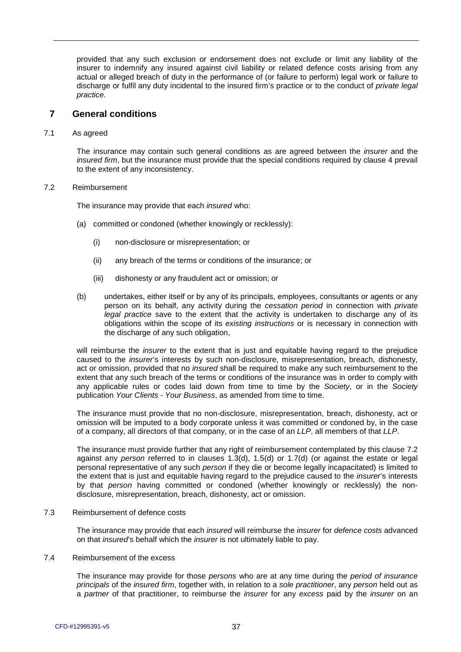provided that any such exclusion or endorsement does not exclude or limit any liability of the insurer to indemnify any insured against civil liability or related defence costs arising from any actual or alleged breach of duty in the performance of (or failure to perform) legal work or failure to discharge or fulfil any duty incidental to the insured firm's practice or to the conduct of *private legal practice*.

# <span id="page-37-0"></span>**7 General conditions**

#### 7.1 As agreed

The insurance may contain such general conditions as are agreed between the *insurer* and the *insured firm*, but the insurance must provide that the special conditions required by clause 4 prevail to the extent of any inconsistency.

### <span id="page-37-1"></span>7.2 Reimbursement

The insurance may provide that each *insured* who:

- (a) committed or condoned (whether knowingly or recklessly):
	- (i) non-disclosure or misrepresentation; or
	- (ii) any breach of the terms or conditions of the insurance; or
	- (iii) dishonesty or any fraudulent act or omission; or
- (b) undertakes, either itself or by any of its principals, employees, consultants or agents or any person on its behalf, any activity during the *cessation period* in connection with *private legal practice* save to the extent that the activity is undertaken to discharge any of its obligations within the scope of its *existing instructions* or is necessary in connection with the discharge of any such obligation,

will reimburse the *insurer* to the extent that is just and equitable having regard to the prejudice caused to the *insurer*'s interests by such non-disclosure, misrepresentation, breach, dishonesty, act or omission, provided that no *insured* shall be required to make any such reimbursement to the extent that any such breach of the terms or conditions of the insurance was in order to comply with any applicable rules or codes laid down from time to time by the *Society*, or in the *Society* publication *Your Clients - Your Business*, as amended from time to time.

The insurance must provide that no non-disclosure, misrepresentation, breach, dishonesty, act or omission will be imputed to a body corporate unless it was committed or condoned by, in the case of a company, all directors of that company, or in the case of an *LLP*, all members of that *LLP*.

The insurance must provide further that any right of reimbursement contemplated by this claus[e 7.2](#page-37-1) against any *person* referred to in clauses [1.3\(d\),](#page-28-5) [1.5\(d\)](#page-29-3) or [1.7\(d\)](#page-29-4) (or against the estate or legal personal representative of any such *person* if they die or become legally incapacitated) is limited to the extent that is just and equitable having regard to the prejudice caused to the *insurer*'s interests by that *person* having committed or condoned (whether knowingly or recklessly) the nondisclosure, misrepresentation, breach, dishonesty, act or omission.

## 7.3 Reimbursement of defence costs

The insurance may provide that each *insured* will reimburse the *insurer* for *defence costs* advanced on that *insured*'s behalf which the *insurer* is not ultimately liable to pay.

### 7.4 Reimbursement of the excess

The insurance may provide for those *persons* who are at any time during the *period of insurance principals* of the *insured firm*, together with, in relation to a *sole practitioner*, any *person* held out as a *partner* of that practitioner, to reimburse the *insurer* for any *excess* paid by the *insurer* on an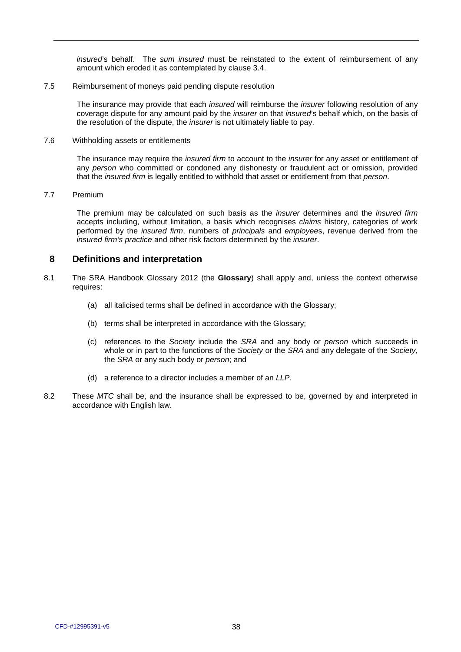*insured*'s behalf. The *sum insured* must be reinstated to the extent of reimbursement of any amount which eroded it as contemplated by claus[e 3.4.](#page-31-3)

#### 7.5 Reimbursement of moneys paid pending dispute resolution

The insurance may provide that each *insured* will reimburse the *insurer* following resolution of any coverage dispute for any amount paid by the *insurer* on that *insured*'s behalf which, on the basis of the resolution of the dispute, the *insurer* is not ultimately liable to pay.

#### 7.6 Withholding assets or entitlements

The insurance may require the *insured firm* to account to the *insurer* for any asset or entitlement of any *person* who committed or condoned any dishonesty or fraudulent act or omission, provided that the *insured firm* is legally entitled to withhold that asset or entitlement from that *person*.

### 7.7 Premium

The premium may be calculated on such basis as the *insurer* determines and the *insured firm* accepts including, without limitation, a basis which recognises *claims* history, categories of work performed by the *insured firm*, numbers of *principals* and *employee*s, revenue derived from the *insured firm's practice* and other risk factors determined by the *insurer*.

## <span id="page-38-0"></span>**8 Definitions and interpretation**

- 8.1 The SRA Handbook Glossary 2012 (the **Glossary**) shall apply and, unless the context otherwise requires:
	- (a) all italicised terms shall be defined in accordance with the Glossary;
	- (b) terms shall be interpreted in accordance with the Glossary;
	- (c) references to the *Society* include the *SRA* and any body or *person* which succeeds in whole or in part to the functions of the *Society* or the *SRA* and any delegate of the *Society*, the *SRA* or any such body or *person*; and
	- (d) a reference to a director includes a member of an *LLP*.
- 8.2 These *MTC* shall be, and the insurance shall be expressed to be, governed by and interpreted in accordance with English law.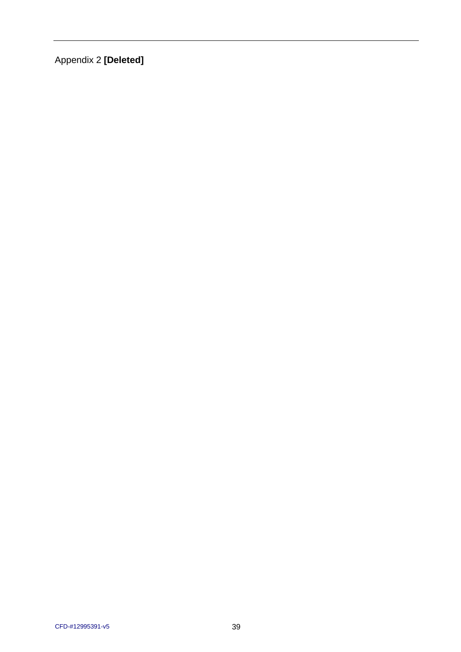<span id="page-39-0"></span>Appendix 2 **[Deleted]**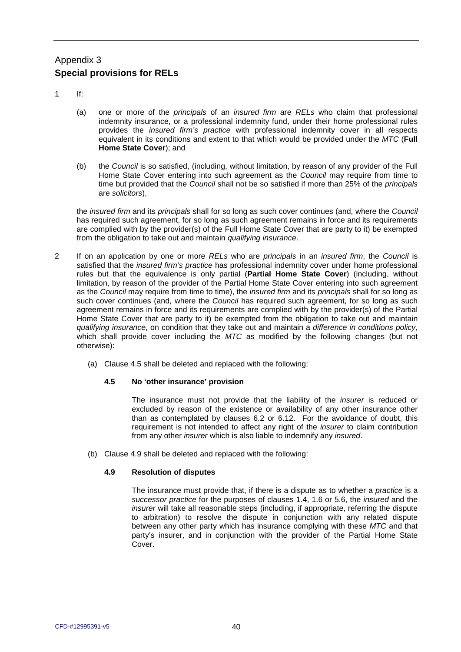# <span id="page-40-0"></span>Appendix 3 **Special provisions for RELs**

- 1 If:
	- (a) one or more of the *principals* of an *insured firm* are *RELs* who claim that professional indemnity insurance, or a professional indemnity fund, under their home professional rules provides the *insured firm's practice* with professional indemnity cover in all respects equivalent in its conditions and extent to that which would be provided under the *MTC* (**Full Home State Cover**); and
	- (b) the *Council* is so satisfied, (including, without limitation, by reason of any provider of the Full Home State Cover entering into such agreement as the *Council* may require from time to time but provided that the *Council* shall not be so satisfied if more than 25% of the *principals*  are *solicitors*),

the *insured firm* and its *principals* shall for so long as such cover continues (and, where the *Council*  has required such agreement, for so long as such agreement remains in force and its requirements are complied with by the provider(s) of the Full Home State Cover that are party to it) be exempted from the obligation to take out and maintain *qualifying insurance*.

- 2 If on an application by one or more *RELs* who are *principals* in an *insured firm*, the *Council* is satisfied that the *insured firm's practice* has professional indemnity cover under home professional rules but that the equivalence is only partial (**Partial Home State Cover**) (including, without limitation, by reason of the provider of the Partial Home State Cover entering into such agreement as the *Council* may require from time to time), the *insured firm* and its *principals* shall for so long as such cover continues (and, where the *Council* has required such agreement, for so long as such agreement remains in force and its requirements are complied with by the provider(s) of the Partial Home State Cover that are party to it) be exempted from the obligation to take out and maintain *qualifying insurance*, on condition that they take out and maintain a *difference in conditions policy*, which shall provide cover including the *MTC* as modified by the following changes (but not otherwise):
	- (a) Clause [4.5](#page-32-0) shall be deleted and replaced with the following:

## **4.5 No 'other insurance' provision**

The insurance must not provide that the liability of the *insurer* is reduced or excluded by reason of the existence or availability of any other insurance other than as contemplated by clauses [6.2](#page-35-2) or 6.12. For the avoidance of doubt, this requirement is not intended to affect any right of the *insurer* to claim contribution from any other *insurer* which is also liable to indemnify any *insured*.

(b) Clause [4.9](#page-33-3) shall be deleted and replaced with the following:

## **4.9 Resolution of disputes**

The insurance must provide that, if there is a dispute as to whether a *practice* is a *successor practice* for the purposes of clauses [1.4,](#page-28-3) [1.6](#page-29-0) or [5.6,](#page-34-1) the *insured* and the *insurer* will take all reasonable steps (including, if appropriate, referring the dispute to arbitration) to resolve the dispute in conjunction with any related dispute between any other party which has insurance complying with these *MTC* and that party's insurer, and in conjunction with the provider of the Partial Home State Cover.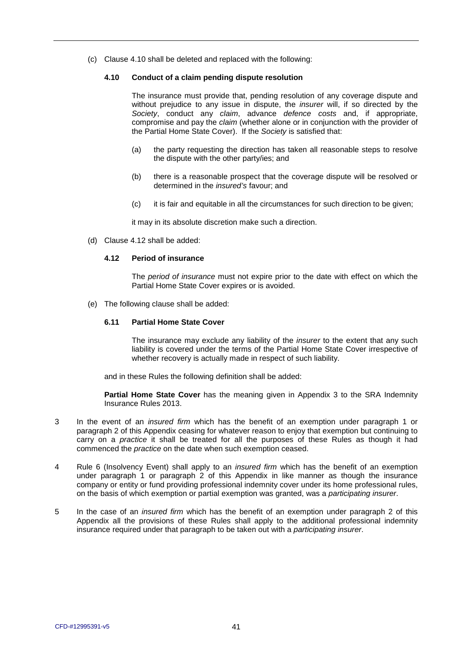(c) Clause [4.10](#page-33-4) shall be deleted and replaced with the following:

### **4.10 Conduct of a claim pending dispute resolution**

The insurance must provide that, pending resolution of any coverage dispute and without prejudice to any issue in dispute, the *insurer* will, if so directed by the *Society*, conduct any *claim*, advance *defence costs* and, if appropriate, compromise and pay the *claim* (whether alone or in conjunction with the provider of the Partial Home State Cover). If the *Society* is satisfied that:

- (a) the party requesting the direction has taken all reasonable steps to resolve the dispute with the other party/ies; and
- (b) there is a reasonable prospect that the coverage dispute will be resolved or determined in the *insured's* favour; and
- (c) it is fair and equitable in all the circumstances for such direction to be given;

it may in its absolute discretion make such a direction.

(d) Clause 4.12 shall be added:

## **4.12 Period of insurance**

The *period of insurance* must not expire prior to the date with effect on which the Partial Home State Cover expires or is avoided.

(e) The following clause shall be added:

### **6.11 Partial Home State Cover**

The insurance may exclude any liability of the *insurer* to the extent that any such liability is covered under the terms of the Partial Home State Cover irrespective of whether recovery is actually made in respect of such liability.

and in these Rules the following definition shall be added:

**Partial Home State Cover** has the meaning given in [Appendix 3](#page-40-0) to the SRA Indemnity Insurance Rules 2013.

- 3 In the event of an *insured firm* which has the benefit of an exemption under paragraph 1 or paragraph 2 of this Appendix ceasing for whatever reason to enjoy that exemption but continuing to carry on a *practice* it shall be treated for all the purposes of these Rules as though it had commenced the *practice* on the date when such exemption ceased.
- 4 [Rule 6](#page-23-0) (Insolvency Event) shall apply to an *insured firm* which has the benefit of an exemption under paragraph 1 or paragraph 2 of this Appendix in like manner as though the insurance company or entity or fund providing professional indemnity cover under its home professional rules, on the basis of which exemption or partial exemption was granted, was a *participating insurer*.
- 5 In the case of an *insured firm* which has the benefit of an exemption under paragraph 2 of this Appendix all the provisions of these Rules shall apply to the additional professional indemnity insurance required under that paragraph to be taken out with a *participating insurer*.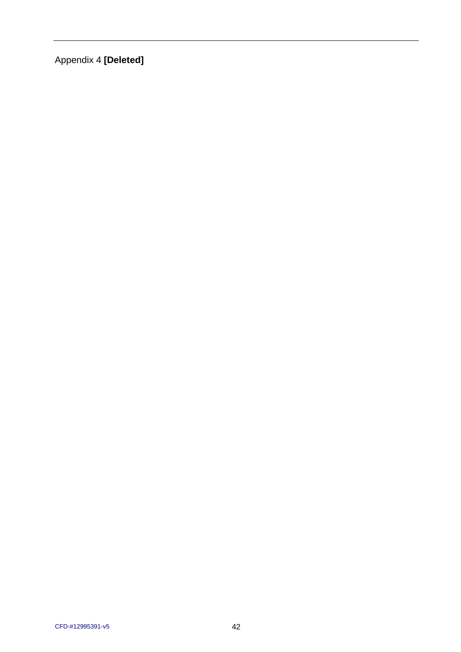<span id="page-42-0"></span>Appendix 4 **[Deleted]**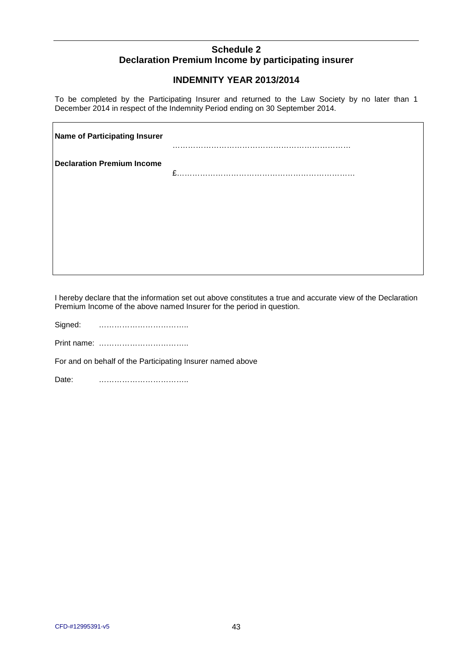# **Schedule 2 Declaration Premium Income by participating insurer**

# **INDEMNITY YEAR 2013/2014**

<span id="page-43-0"></span>To be completed by the Participating Insurer and returned to the Law Society by no later than 1 December 2014 in respect of the Indemnity Period ending on 30 September 2014.

| Name of Participating Insurer |  |
|-------------------------------|--|
| Declaration Premium Income    |  |
|                               |  |
|                               |  |
|                               |  |

I hereby declare that the information set out above constitutes a true and accurate view of the Declaration Premium Income of the above named Insurer for the period in question.

Signed: ……………………………..

Print name: ……………………………..

For and on behalf of the Participating Insurer named above

Date: ……………………………..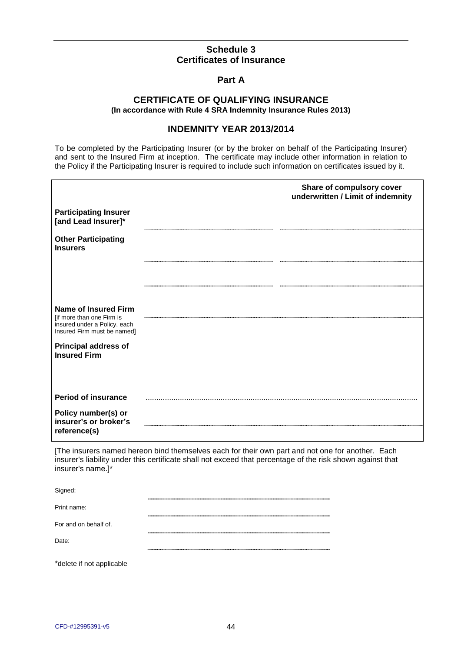# **Schedule 3 Certificates of Insurance**

# **Part A**

## <span id="page-44-0"></span>**CERTIFICATE OF QUALIFYING INSURANCE (In accordance wit[h Rule 4](#page-21-2) SRA Indemnity Insurance Rules 2013)**

# **INDEMNITY YEAR 2013/2014**

To be completed by the Participating Insurer (or by the broker on behalf of the Participating Insurer) and sent to the Insured Firm at inception. The certificate may include other information in relation to the Policy if the Participating Insurer is required to include such information on certificates issued by it.

|                                                             | Share of compulsory cover<br>underwritten / Limit of indemnity |
|-------------------------------------------------------------|----------------------------------------------------------------|
| <b>Participating Insurer</b><br>[and Lead Insurer]*         |                                                                |
| <b>Other Participating</b><br><b>Insurers</b>               |                                                                |
|                                                             |                                                                |
| <b>Name of Insured Firm</b><br>[if more than one Firm is    |                                                                |
| insured under a Policy, each<br>Insured Firm must be named] |                                                                |
| <b>Principal address of</b><br><b>Insured Firm</b>          |                                                                |
|                                                             |                                                                |
| <b>Period of insurance</b>                                  |                                                                |
| Policy number(s) or<br>insurer's or broker's                |                                                                |
| reference(s)                                                |                                                                |

[The insurers named hereon bind themselves each for their own part and not one for another. Each insurer's liability under this certificate shall not exceed that percentage of the risk shown against that insurer's name.]\*

| Signed:               |  |
|-----------------------|--|
|                       |  |
| Print name:           |  |
|                       |  |
| For and on behalf of. |  |
|                       |  |
| Date:                 |  |
|                       |  |
|                       |  |

\*delete if not applicable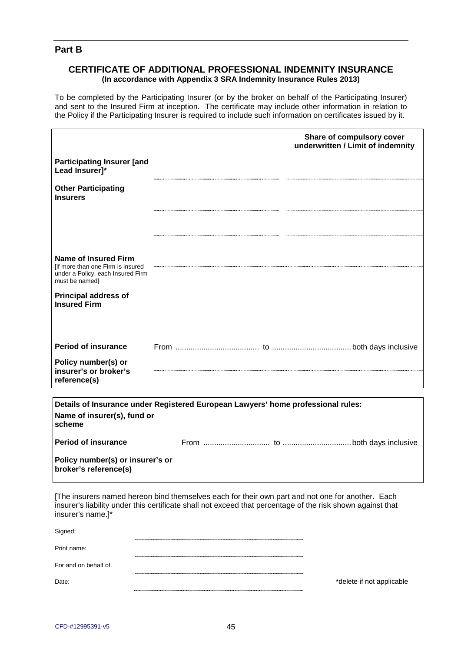## **Part B**

## **CERTIFICATE OF ADDITIONAL PROFESSIONAL INDEMNITY INSURANCE (In accordance wit[h Appendix 3](#page-40-0) SRA Indemnity Insurance Rules 2013)**

To be completed by the Participating Insurer (or by the broker on behalf of the Participating Insurer) and sent to the Insured Firm at inception. The certificate may include other information in relation to the Policy if the Participating Insurer is required to include such information on certificates issued by it.

|                                                                                                                         |                                                                                  | Share of compulsory cover<br>underwritten / Limit of indemnity                                                                                                                                                 |
|-------------------------------------------------------------------------------------------------------------------------|----------------------------------------------------------------------------------|----------------------------------------------------------------------------------------------------------------------------------------------------------------------------------------------------------------|
| <b>Participating Insurer [and</b><br>Lead Insurer]*                                                                     |                                                                                  |                                                                                                                                                                                                                |
| <b>Other Participating</b><br><b>Insurers</b>                                                                           |                                                                                  |                                                                                                                                                                                                                |
|                                                                                                                         |                                                                                  |                                                                                                                                                                                                                |
|                                                                                                                         |                                                                                  |                                                                                                                                                                                                                |
| <b>Name of Insured Firm</b><br>[if more than one Firm is insured<br>under a Policy, each Insured Firm<br>must be named] |                                                                                  |                                                                                                                                                                                                                |
| <b>Principal address of</b><br><b>Insured Firm</b>                                                                      |                                                                                  |                                                                                                                                                                                                                |
|                                                                                                                         |                                                                                  |                                                                                                                                                                                                                |
| <b>Period of insurance</b>                                                                                              |                                                                                  |                                                                                                                                                                                                                |
| Policy number(s) or<br>insurer's or broker's                                                                            |                                                                                  |                                                                                                                                                                                                                |
| reference(s)                                                                                                            |                                                                                  |                                                                                                                                                                                                                |
| Name of insurer(s), fund or<br>scheme                                                                                   | Details of Insurance under Registered European Lawyers' home professional rules: |                                                                                                                                                                                                                |
| <b>Period of insurance</b>                                                                                              |                                                                                  |                                                                                                                                                                                                                |
| Policy number(s) or insurer's or<br>broker's reference(s)                                                               |                                                                                  |                                                                                                                                                                                                                |
| insurer's name.]*                                                                                                       |                                                                                  | [The insurers named hereon bind themselves each for their own part and not one for another. Each<br>insurer's liability under this certificate shall not exceed that percentage of the risk shown against that |
| Signed:                                                                                                                 |                                                                                  |                                                                                                                                                                                                                |
| Print name:                                                                                                             |                                                                                  |                                                                                                                                                                                                                |
| For and on behalf of.                                                                                                   |                                                                                  |                                                                                                                                                                                                                |

Date: the contract of the contract of the contract of the contract of the contract of the contract of the contract of the contract of the contract of the contract of the contract of the contract of the contract of the cont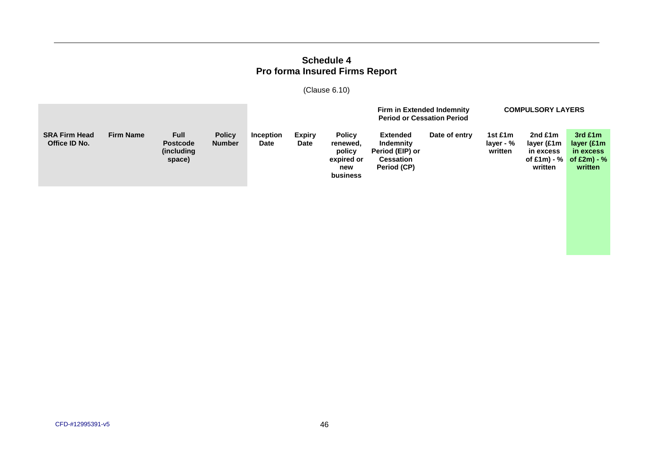# **Schedule 4 Pro forma Insured Firms Report**

(Claus[e 6.10\)](#page-12-3)

<span id="page-46-0"></span>

|                                                           |                                                         |                                |                          |                              | <b>COMPULSORY LAYERS</b><br><b>Firm in Extended Indemnity</b><br><b>Period or Cessation Period</b> |                                                                                    |               |                                 |                                                 |                                                                             |
|-----------------------------------------------------------|---------------------------------------------------------|--------------------------------|--------------------------|------------------------------|----------------------------------------------------------------------------------------------------|------------------------------------------------------------------------------------|---------------|---------------------------------|-------------------------------------------------|-----------------------------------------------------------------------------|
| <b>SRA Firm Head</b><br><b>Firm Name</b><br>Office ID No. | <b>Full</b><br><b>Postcode</b><br>(including)<br>space) | <b>Policy</b><br><b>Number</b> | <b>Inception</b><br>Date | <b>Expiry</b><br><b>Date</b> | <b>Policy</b><br>renewed,<br>policy<br>expired or<br>new<br>business                               | <b>Extended</b><br>Indemnity<br>Period (EIP) or<br><b>Cessation</b><br>Period (CP) | Date of entry | 1st £1m<br>layer - %<br>written | 2nd $£1m$<br>layer (£1m<br>in excess<br>written | 3rd £1m<br>layer (£1m<br>in excess<br>of £1m) - % of $£2m$ ) - %<br>written |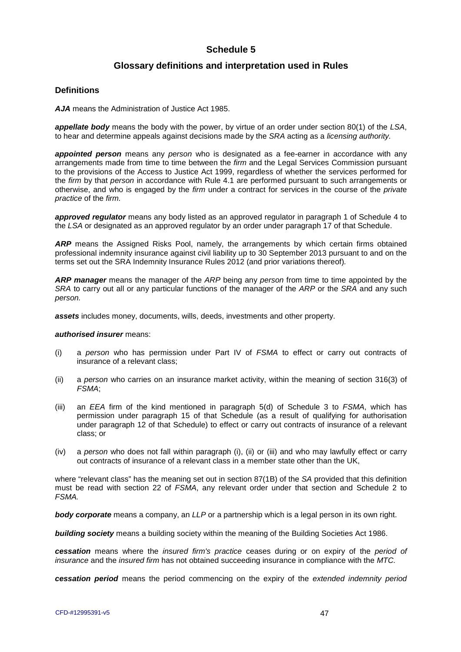# **Schedule 5**

# **Glossary definitions and interpretation used in Rules**

## <span id="page-47-0"></span>**Definitions**

*AJA* means the Administration of Justice Act 1985.

*appellate body* means the body with the power, by virtue of an order under section 80(1) of the *LSA*, to hear and determine appeals against decisions made by the *SRA* acting as a *licensing authority.*

*appointed person* means any *person* who is designated as a fee-earner in accordance with any arrangements made from time to time between the *firm* and the Legal Services Commission pursuant to the provisions of the Access to Justice Act 1999, regardless of whether the services performed for the *firm* by that *person* in accordance with Rule [4.1](#page-21-5) are performed pursuant to such arrangements or otherwise, and who is engaged by the *firm* under a contract for services in the course of the *privat*e *practice* of the *firm.*

*approved regulator* means any body listed as an approved regulator in paragraph 1 of Schedule 4 to the *LSA* or designated as an approved regulator by an order under paragraph 17 of that Schedule.

ARP means the Assigned Risks Pool, namely, the arrangements by which certain firms obtained professional indemnity insurance against civil liability up to 30 September 2013 pursuant to and on the terms set out the SRA Indemnity Insurance Rules 2012 (and prior variations thereof)*.*

*ARP manager* means the manager of the *ARP* being any *person* from time to time appointed by the *SRA* to carry out all or any particular functions of the manager of the *ARP* or the *SRA* and any such *person.*

*assets* includes money, documents, wills, deeds, investments and other property.

#### *authorised insurer* means:

- (i) a *person* who has permission under Part IV of *FSMA* to effect or carry out contracts of insurance of a relevant class;
- (ii) a *person* who carries on an insurance market activity, within the meaning of section 316(3) of *FSMA*;
- (iii) an *EEA* firm of the kind mentioned in paragraph 5(d) of Schedule 3 to *FSMA*, which has permission under paragraph 15 of that Schedule (as a result of qualifying for authorisation under paragraph 12 of that Schedule) to effect or carry out contracts of insurance of a relevant class; or
- (iv) a *person* who does not fall within paragraph (i), (ii) or (iii) and who may lawfully effect or carry out contracts of insurance of a relevant class in a member state other than the UK,

where "relevant class" has the meaning set out in section 87(1B) of the *SA* provided that this definition must be read with section 22 of *FSMA*, any relevant order under that section and Schedule 2 to *FSMA.*

*body corporate* means a company, an *LLP* or a partnership which is a legal person in its own right.

*building society* means a building society within the meaning of the Building Societies Act 1986.

*cessation* means where the *insured firm's practice* ceases during or on expiry of the *period of insurance* and the *insured firm* has not obtained succeeding insurance in compliance with the *MTC.*

*cessation period* means the period commencing on the expiry of the *extended indemnity period*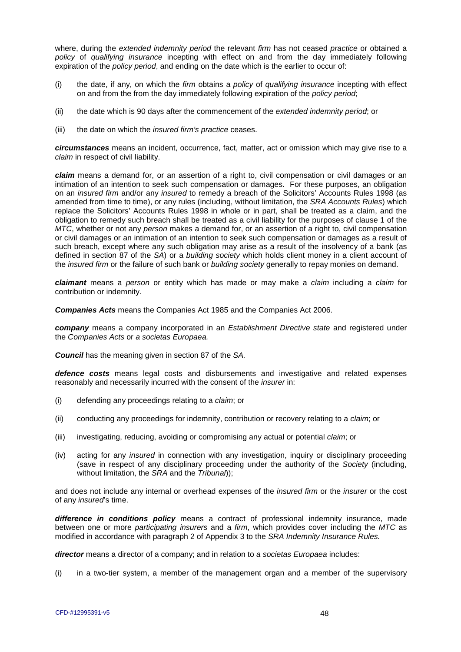where, during the *extended indemnity period* the relevant *firm* has not ceased *practice* or obtained a *policy* of *qualifying insurance* incepting with effect on and from the day immediately following expiration of the *policy period*, and ending on the date which is the earlier to occur of:

- (i) the date, if any, on which the *firm* obtains a *policy* of *qualifying insurance* incepting with effect on and from the from the day immediately following expiration of the *policy period*;
- (ii) the date which is 90 days after the commencement of the *extended indemnity period*; or
- (iii) the date on which the *insured firm's practice* ceases.

*circumstances* means an incident, occurrence, fact, matter, act or omission which may give rise to a *claim* in respect of civil liability.

*claim* means a demand for, or an assertion of a right to, civil compensation or civil damages or an intimation of an intention to seek such compensation or damages. For these purposes, an obligation on an *insured firm* and/or any *insured* to remedy a breach of the Solicitors' Accounts Rules 1998 (as amended from time to time), or any rules (including, without limitation, the *SRA Accounts Rules*) which replace the Solicitors' Accounts Rules 1998 in whole or in part, shall be treated as a claim, and the obligation to remedy such breach shall be treated as a civil liability for the purposes of clause 1 of the *MTC*, whether or not any *person* makes a demand for, or an assertion of a right to, civil compensation or civil damages or an intimation of an intention to seek such compensation or damages as a result of such breach, except where any such obligation may arise as a result of the insolvency of a bank (as defined in section 87 of the *SA*) or a *building society* which holds client money in a client account of the *insured firm* or the failure of such bank or *building society* generally to repay monies on demand.

*claimant* means a *person* or entity which has made or may make a *claim* including a *claim* for contribution or indemnity.

*Companies Acts* means the Companies Act 1985 and the Companies Act 2006.

*company* means a company incorporated in an *Establishment Directive state* and registered under the *Companies Acts* or *a societas Europaea.*

*Council* has the meaning given in section 87 of the *SA.*

*defence costs* means legal costs and disbursements and investigative and related expenses reasonably and necessarily incurred with the consent of the *insurer* in:

- (i) defending any proceedings relating to a *claim*; or
- (ii) conducting any proceedings for indemnity, contribution or recovery relating to a *claim*; or
- (iii) investigating, reducing, avoiding or compromising any actual or potential *claim*; or
- (iv) acting for any *insured* in connection with any investigation, inquiry or disciplinary proceeding (save in respect of any disciplinary proceeding under the authority of the *Society* (including, without limitation, the *SRA* and the *Tribunal*));

and does not include any internal or overhead expenses of the *insured firm* or the *insurer* or the cost of any *insured*'s time.

*difference in conditions policy* means a contract of professional indemnity insurance, made between one or more *participating insurers* and a *firm*, which provides cover including the *MTC* as modified in accordance with paragraph 2 of [Appendix 3](#page-40-0) to the *SRA Indemnity Insurance Rules.*

*director* means a director of a company; and in relation to *a societas Europaea* includes:

(i) in a two-tier system, a member of the management organ and a member of the supervisory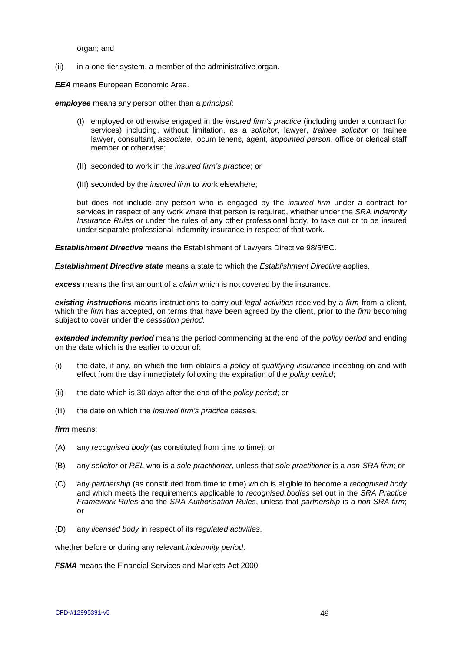organ; and

(ii) in a one-tier system, a member of the administrative organ.

*EEA* means European Economic Area.

*employee* means any person other than a *principal*:

- (I) employed or otherwise engaged in the *insured firm's practice* (including under a contract for services) including, without limitation, as a *solicitor*, lawyer, *trainee solicitor* or trainee lawyer, consultant, *associate*, locum tenens, agent, *appointed person*, office or clerical staff member or otherwise;
- (II) seconded to work in the *insured firm's practice*; or
- (III) seconded by the *insured firm* to work elsewhere;

but does not include any person who is engaged by the *insured firm* under a contract for services in respect of any work where that person is required, whether under the *SRA Indemnity Insurance Rules* or under the rules of any other professional body, to take out or to be insured under separate professional indemnity insurance in respect of that work.

*Establishment Directive* means the Establishment of Lawyers Directive 98/5/EC.

*Establishment Directive state* means a state to which the *Establishment Directive* applies.

*excess* means the first amount of a *claim* which is not covered by the insurance.

*existing instructions* means instructions to carry out *legal activities* received by a *firm* from a client, which the *firm* has accepted, on terms that have been agreed by the client, prior to the *firm* becoming subject to cover under the *cessation period.*

*extended indemnity period* means the period commencing at the end of the *policy period* and ending on the date which is the earlier to occur of:

- (i) the date, if any, on which the firm obtains a *policy* of *qualifying insurance* incepting on and with effect from the day immediately following the expiration of the *policy period*;
- (ii) the date which is 30 days after the end of the *policy period*; or
- (iii) the date on which the *insured firm's practice* ceases.

#### *firm* means:

- (A) any *recognised body* (as constituted from time to time); or
- (B) any *solicitor* or *REL* who is a *sole practitioner*, unless that *sole practitioner* is a *non-SRA firm*; or
- (C) any *partnership* (as constituted from time to time) which is eligible to become a *recognised body* and which meets the requirements applicable to *recognised bodies* set out in the *SRA Practice Framework Rules* and the *SRA Authorisation Rules*, unless that *partnership* is a *non-SRA firm*; or
- (D) any *licensed body* in respect of its *regulated activities*,

whether before or during any relevant *indemnity period*.

**FSMA** means the Financial Services and Markets Act 2000.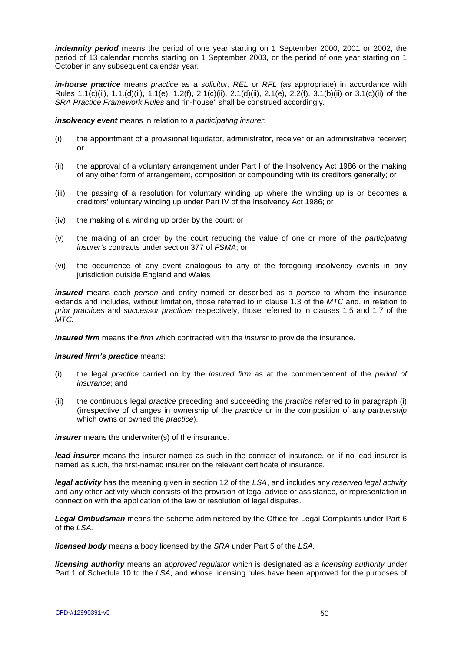*indemnity period* means the period of one year starting on 1 September 2000, 2001 or 2002, the period of 13 calendar months starting on 1 September 2003, or the period of one year starting on 1 October in any subsequent calendar year.

*in-house practice* means *practice* as a *solicitor, REL* or *RFL* (as appropriate) in accordance with Rules  $1.1(c)$ (ii),  $1.1(d)$ (ii),  $1.1(e)$ ,  $1.2(f)$ ,  $2.1(c)$ (ii),  $2.1(d)$ (ii),  $2.1(e)$ ,  $2.2(f)$ ,  $3.1(b)$ (ii) or  $3.1(c)$ (ii) of the *SRA Practice Framework Rules* and "in-house" shall be construed accordingly.

*insolvency event* means in relation to a *participating insurer*:

- (i) the appointment of a provisional liquidator, administrator, receiver or an administrative receiver; or
- (ii) the approval of a voluntary arrangement under Part I of the Insolvency Act 1986 or the making of any other form of arrangement, composition or compounding with its creditors generally; or
- (iii) the passing of a resolution for voluntary winding up where the winding up is or becomes a creditors' voluntary winding up under Part IV of the Insolvency Act 1986; or
- (iv) the making of a winding up order by the court; or
- (v) the making of an order by the court reducing the value of one or more of the *participating insurer's* contracts under section 377 of *FSMA*; or
- (vi) the occurrence of any event analogous to any of the foregoing insolvency events in any jurisdiction outside England and Wales

*insured* means each *person* and entity named or described as a *person* to whom the insurance extends and includes, without limitation, those referred to in clause 1.3 of the *MTC* and, in relation to *prior practices* and *successor practices* respectively, those referred to in clauses 1.5 and 1.7 of the *MTC.*

*insured firm* means the *firm* which contracted with the *insurer* to provide the insurance.

#### *insured firm's practice* means:

- (i) the legal *practice* carried on by the *insured firm* as at the commencement of the *period of insurance*; and
- (ii) the continuous legal *practice* preceding and succeeding the *practice* referred to in paragraph (i) (irrespective of changes in ownership of the *practice* or in the composition of any *partnership* which owns or owned the *practice*).

*insurer* means the underwriter(s) of the insurance.

*lead insurer* means the insurer named as such in the contract of insurance, or, if no lead insurer is named as such, the first-named insurer on the relevant certificate of insurance.

*legal activity* has the meaning given in section 12 of the *LSA*, and includes any *reserved legal activity*  and any other activity which consists of the provision of legal advice or assistance, or representation in connection with the application of the law or resolution of legal disputes.

*Legal Ombudsman* means the scheme administered by the Office for Legal Complaints under Part 6 of the *LSA.*

*licensed body* means a body licensed by the *SRA* under Part 5 of the *LSA.*

*licensing authority* means an *approved regulator* which is designated as *a licensing authority* under Part 1 of Schedule 10 to the *LSA*, and whose licensing rules have been approved for the purposes of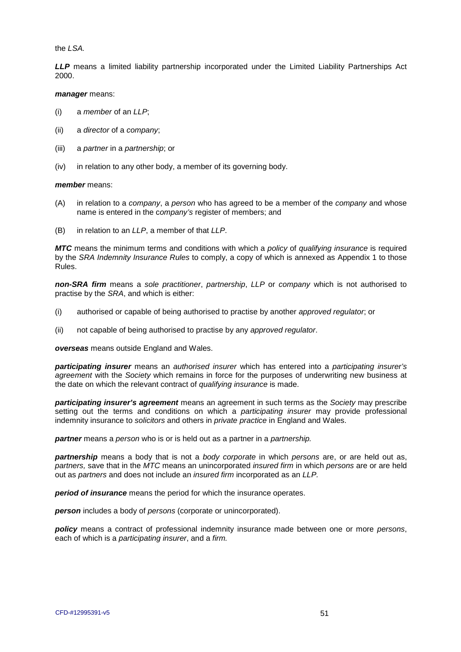the *LSA.*

*LLP* means a limited liability partnership incorporated under the Limited Liability Partnerships Act 2000.

#### *manager* means:

- (i) a *member* of an *LLP*;
- (ii) a *director* of a *company*;
- (iii) a *partner* in a *partnership*; or
- (iv) in relation to any other body, a member of its governing body.

#### *member* means:

- (A) in relation to a *company*, a *person* who has agreed to be a member of the *company* and whose name is entered in the c*ompany's* register of members; and
- (B) in relation to an *LLP*, a member of that *LLP*.

*MTC* means the minimum terms and conditions with which a *policy* of *qualifying insurance* is required by the *SRA Indemnity Insurance Rules* to comply, a copy of which is annexed as Appendix 1 to those Rules.

*non-SRA firm* means a *sole practitioner*, *partnership*, *LLP* or *company* which is not authorised to practise by the *SRA*, and which is either:

- (i) authorised or capable of being authorised to practise by another *approved regulator*; or
- (ii) not capable of being authorised to practise by any *approved regulator*.

*overseas* means outside England and Wales.

*participating insurer* means an *authorised insurer* which has entered into a *participating insurer's agreement* with the *Society* which remains in force for the purposes of underwriting new business at the date on which the relevant contract of *qualifying insurance* is made.

*participating insurer's agreement* means an agreement in such terms as the *Society* may prescribe setting out the terms and conditions on which a *participating insurer* may provide professional indemnity insurance to *solicitors* and others in *private practice* in England and Wales.

*partner* means a *person* who is or is held out as a partner in a *partnership.*

**partnership** means a body that is not a *body corporate* in which *persons* are, or are held out as, *partners,* save that in the *MTC* means an unincorporated *insured firm* in which *persons* are or are held out as *partners* and does not include an *insured firm* incorporated as an *LLP.*

*period of insurance* means the period for which the insurance operates.

*person* includes a body of *persons* (corporate or unincorporated).

*policy* means a contract of professional indemnity insurance made between one or more *persons*, each of which is a *participating insurer*, and a *firm.*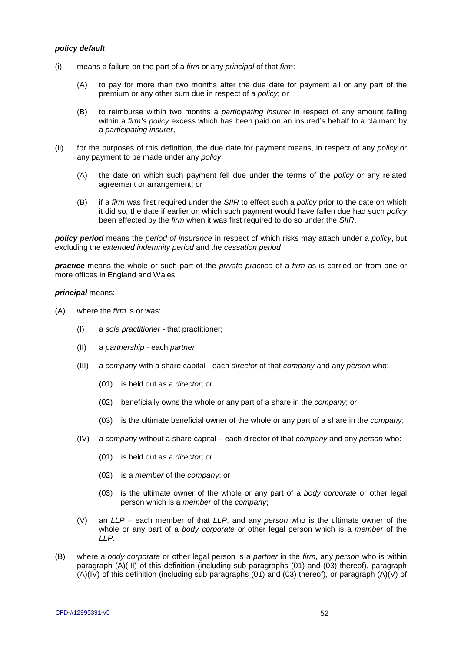#### *policy default*

- (i) means a failure on the part of a *firm* or any *principal* of that *firm*:
	- (A) to pay for more than two months after the due date for payment all or any part of the premium or any other sum due in respect of a *policy*; or
	- (B) to reimburse within two months a *participating insurer* in respect of any amount falling within a *firm's policy* excess which has been paid on an insured's behalf to a claimant by a *participating insurer*,
- (ii) for the purposes of this definition, the due date for payment means, in respect of any *policy* or any payment to be made under any *policy*:
	- (A) the date on which such payment fell due under the terms of the *policy* or any related agreement or arrangement; or
	- (B) if a *firm* was first required under the *SIIR* to effect such a *policy* prior to the date on which it did so, the date if earlier on which such payment would have fallen due had such *policy* been effected by the *firm* when it was first required to do so under the *SIIR*.

*policy period* means the *period of insurance* in respect of which risks may attach under a *policy*, but excluding the *extended indemnity period* and the *cessation period*

*practice* means the whole or such part of the *private practice* of a *firm* as is carried on from one or more offices in England and Wales.

#### *principal* means:

- (A) where the *firm* is or was:
	- (I) a *sole practitioner* that practitioner;
	- (II) a *partnership* each *partner*;
	- (III) a *company* with a share capital each *director* of that *company* and any *person* who:
		- (01) is held out as a *director*; or
		- (02) beneficially owns the whole or any part of a share in the *company*; or
		- (03) is the ultimate beneficial owner of the whole or any part of a share in the *company*;
	- (IV) a *company* without a share capital each director of that *company* and any *person* who:
		- (01) is held out as a *director*; or
		- (02) is a *member* of the *company*; or
		- (03) is the ultimate owner of the whole or any part of a *body corporate* or other legal person which is a *member* of the *company*;
	- (V) an *LLP*  each member of that *LLP*, and any *person* who is the ultimate owner of the whole or any part of a *body corporate* or other legal person which is a *member* of the *LLP*.
- (B) where a *body corporate* or other legal person is a *partner* in the *firm*, any *person* who is within paragraph (A)(III) of this definition (including sub paragraphs (01) and (03) thereof), paragraph (A)(IV) of this definition (including sub paragraphs (01) and (03) thereof), or paragraph (A)(V) of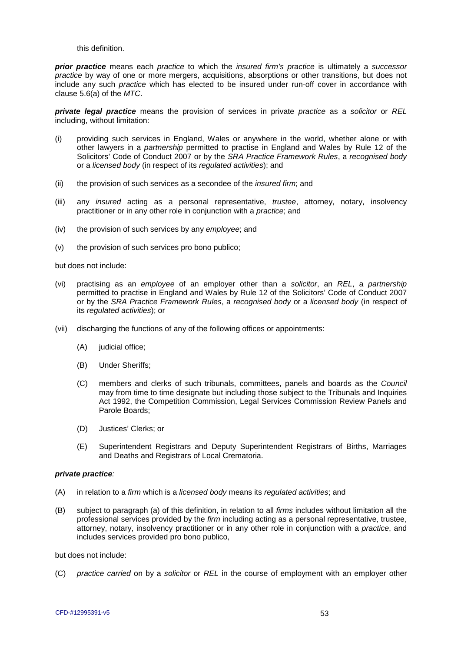#### this definition.

*prior practice* means each *practice* to which the *insured firm's practice* is ultimately a *successor practice* by way of one or more mergers, acquisitions, absorptions or other transitions, but does not include any such *practice* which has elected to be insured under run-off cover in accordance with clause 5.6(a) of the *MTC*.

*private legal practice* means the provision of services in private *practice* as a *solicitor* or *REL* including, without limitation:

- (i) providing such services in England, Wales or anywhere in the world, whether alone or with other lawyers in a *partnership* permitted to practise in England and Wales by Rule 12 of the Solicitors' Code of Conduct 2007 or by the *SRA Practice Framework Rules*, a *recognised body*  or a *licensed body* (in respect of its *regulated activities*); and
- (ii) the provision of such services as a secondee of the *insured firm*; and
- (iii) any *insured* acting as a personal representative, *trustee*, attorney, notary, insolvency practitioner or in any other role in conjunction with a *practice*; and
- (iv) the provision of such services by any *employee*; and
- (v) the provision of such services pro bono publico;

but does not include:

- (vi) practising as an *employee* of an employer other than a *solicitor*, an *REL*, a *partnership* permitted to practise in England and Wales by Rule 12 of the Solicitors' Code of Conduct 2007 or by the *SRA Practice Framework Rules*, a *recognised body* or a *licensed body* (in respect of its *regulated activities*); or
- (vii) discharging the functions of any of the following offices or appointments:
	- (A) judicial office;
	- (B) Under Sheriffs;
	- (C) members and clerks of such tribunals, committees, panels and boards as the *Council* may from time to time designate but including those subject to the Tribunals and Inquiries Act 1992, the Competition Commission, Legal Services Commission Review Panels and Parole Boards;
	- (D) Justices' Clerks; or
	- (E) Superintendent Registrars and Deputy Superintendent Registrars of Births, Marriages and Deaths and Registrars of Local Crematoria.

#### *private practice:*

- (A) in relation to a *firm* which is a *licensed body* means its *regulated activities*; and
- (B) subject to paragraph (a) of this definition, in relation to all *firms* includes without limitation all the professional services provided by the *firm* including acting as a personal representative, trustee, attorney, notary, insolvency practitioner or in any other role in conjunction with a *practice*, and includes services provided pro bono publico,

but does not include:

(C) *practice carried* on by a *solicitor* or *REL* in the course of employment with an employer other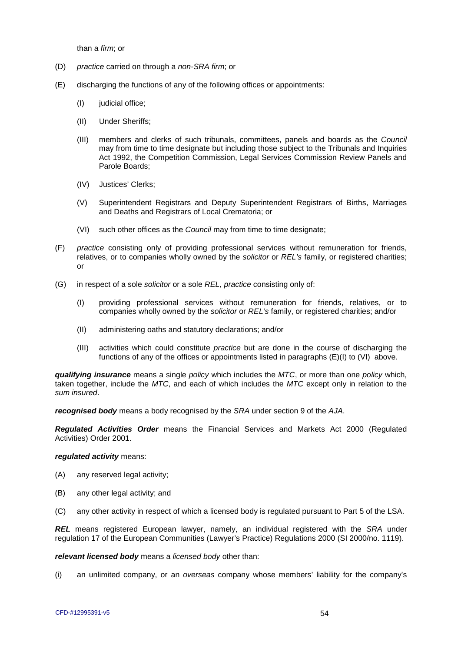than a *firm*; or

- (D) *practice* carried on through a *non-SRA firm*; or
- (E) discharging the functions of any of the following offices or appointments:
	- (I) judicial office;
	- (II) Under Sheriffs;
	- (III) members and clerks of such tribunals, committees, panels and boards as the *Council*  may from time to time designate but including those subject to the Tribunals and Inquiries Act 1992, the Competition Commission, Legal Services Commission Review Panels and Parole Boards;
	- (IV) Justices' Clerks;
	- (V) Superintendent Registrars and Deputy Superintendent Registrars of Births, Marriages and Deaths and Registrars of Local Crematoria; or
	- (VI) such other offices as the *Council* may from time to time designate;
- (F) *practice* consisting only of providing professional services without remuneration for friends, relatives, or to companies wholly owned by the *solicitor* or *REL's* family, or registered charities; or
- (G) in respect of a sole *solicitor* or a sole *REL, practice* consisting only of:
	- (I) providing professional services without remuneration for friends, relatives, or to companies wholly owned by the *solicitor* or *REL's* family, or registered charities; and/or
	- (II) administering oaths and statutory declarations; and/or
	- (III) activities which could constitute *practice* but are done in the course of discharging the functions of any of the offices or appointments listed in paragraphs (E)(I) to (VI) above.

*qualifying insurance* means a single *policy* which includes the *MTC*, or more than one *policy* which, taken together, include the *MTC*, and each of which includes the *MTC* except only in relation to the *sum insured*.

*recognised body* means a body recognised by the *SRA* under section 9 of the *AJA*.

*Regulated Activities Order* means the Financial Services and Markets Act 2000 (Regulated Activities) Order 2001.

#### *regulated activity* means:

- (A) any reserved legal activity;
- (B) any other legal activity; and
- (C) any other activity in respect of which a licensed body is regulated pursuant to Part 5 of the LSA.

*REL* means registered European lawyer, namely, an individual registered with the *SRA* under regulation 17 of the European Communities (Lawyer's Practice) Regulations 2000 (SI 2000/no. 1119).

#### *relevant licensed body* means a *licensed body* other than:

(i) an unlimited company, or an *overseas* company whose members' liability for the company's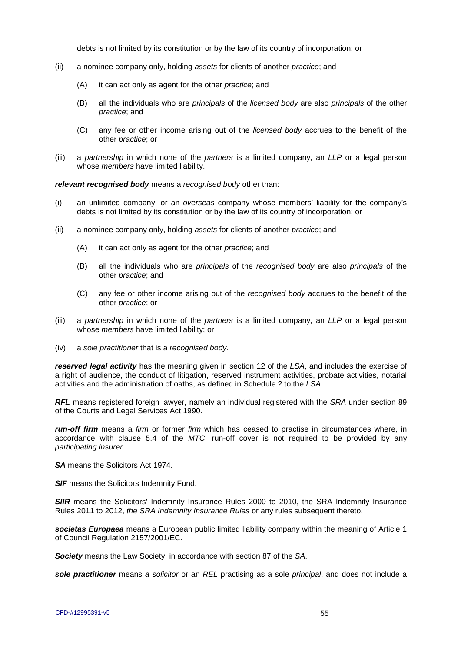debts is not limited by its constitution or by the law of its country of incorporation; or

- (ii) a nominee company only, holding *assets* for clients of another *practice*; and
	- (A) it can act only as agent for the other *practice*; and
	- (B) all the individuals who are *principals* of the *licensed body* are also *principals* of the other *practice*; and
	- (C) any fee or other income arising out of the *licensed body* accrues to the benefit of the other *practice*; or
- (iii) a *partnership* in which none of the *partners* is a limited company, an *LLP* or a legal person whose *members* have limited liability.

*relevant recognised body* means a *recognised body* other than:

- (i) an unlimited company, or an *overseas* company whose members' liability for the company's debts is not limited by its constitution or by the law of its country of incorporation; or
- (ii) a nominee company only, holding *assets* for clients of another *practice*; and
	- (A) it can act only as agent for the other *practice*; and
	- (B) all the individuals who are *principals* of the *recognised body* are also *principals* of the other *practice*; and
	- (C) any fee or other income arising out of the *recognised body* accrues to the benefit of the other *practice*; or
- (iii) a *partnership* in which none of the *partners* is a limited company, an *LLP* or a legal person whose *members* have limited liability; or
- (iv) a *sole practitioner* that is a *recognised body*.

*reserved legal activity* has the meaning given in section 12 of the *LSA*, and includes the exercise of a right of audience, the conduct of litigation, reserved instrument activities, probate activities, notarial activities and the administration of oaths, as defined in Schedule 2 to the *LSA*.

*RFL* means registered foreign lawyer, namely an individual registered with the *SRA* under section 89 of the Courts and Legal Services Act 1990.

*run-off firm* means a *firm* or former *firm* which has ceased to practise in circumstances where, in accordance with clause [5.4](#page-34-0) of the *MTC*, run-off cover is not required to be provided by any *participating insurer*.

*SA* means the Solicitors Act 1974.

**SIF** means the Solicitors Indemnity Fund.

*SIIR* means the Solicitors' Indemnity Insurance Rules 2000 to 2010, the SRA Indemnity Insurance Rules 2011 to 2012, *the SRA Indemnity Insurance Rules* or any rules subsequent thereto.

*societas Europaea* means a European public limited liability company within the meaning of Article 1 of Council Regulation 2157/2001/EC.

*Society* means the Law Society, in accordance with section 87 of the *SA*.

*sole practitioner* means *a solicitor* or an *REL* practising as a sole *principal*, and does not include a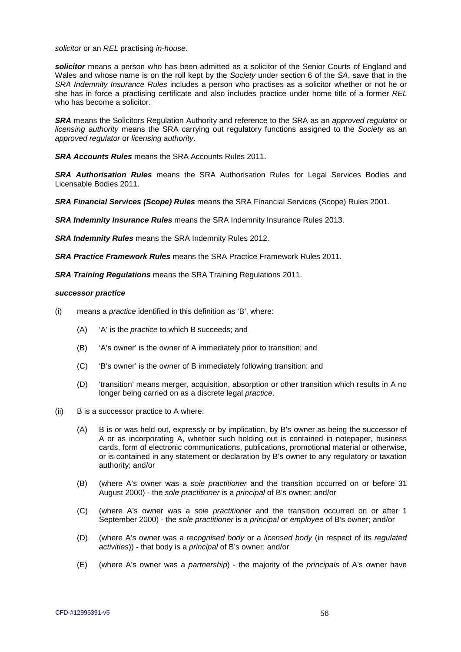*solicitor* or an *REL* practising *in-house*.

*solicitor* means a person who has been admitted as a solicitor of the Senior Courts of England and Wales and whose name is on the roll kept by the *Society* under section 6 of the *SA*, save that in the *SRA Indemnity Insurance Rules* includes a person who practises as a solicitor whether or not he or she has in force a practising certificate and also includes practice under home title of a former *REL* who has become a solicitor.

*SRA* means the Solicitors Regulation Authority and reference to the SRA as an *approved regulator* or *licensing authority* means the SRA carrying out regulatory functions assigned to the *Society* as an *approved regulator* or *licensing authority*.

*SRA Accounts Rules* means the SRA Accounts Rules 2011.

*SRA Authorisation Rules* means the SRA Authorisation Rules for Legal Services Bodies and Licensable Bodies 2011.

*SRA Financial Services (Scope) Rules* means the SRA Financial Services (Scope) Rules 2001.

*SRA Indemnity Insurance Rules* means the SRA Indemnity Insurance Rules 2013.

*SRA Indemnity Rules* means the SRA Indemnity Rules 2012.

*SRA Practice Framework Rules* means the SRA Practice Framework Rules 2011.

*SRA Training Regulations* means the SRA Training Regulations 2011.

#### *successor practice*

- (i) means a *practice* identified in this definition as 'B', where:
	- (A) 'A' is the *practice* to which B succeeds; and
	- (B) 'A's owner' is the owner of A immediately prior to transition; and
	- (C) 'B's owner' is the owner of B immediately following transition; and
	- (D) 'transition' means merger, acquisition, absorption or other transition which results in A no longer being carried on as a discrete legal *practice*.
- (ii) B is a successor practice to A where:
	- (A) B is or was held out, expressly or by implication, by B's owner as being the successor of A or as incorporating A, whether such holding out is contained in notepaper, business cards, form of electronic communications, publications, promotional material or otherwise, or is contained in any statement or declaration by B's owner to any regulatory or taxation authority; and/or
	- (B) (where A's owner was a *sole practitioner* and the transition occurred on or before 31 August 2000) - the *sole practitioner* is a *principal* of B's owner; and/or
	- (C) (where A's owner was a *sole practitioner* and the transition occurred on or after 1 September 2000) - the *sole practitioner* is a *principal* or *employee* of B's owner; and/or
	- (D) (where A's owner was a *recognised body* or a *licensed body* (in respect of its *regulated activities*)) - that body is a *principal* of B's owner; and/or
	- (E) (where A's owner was a *partnership*) the majority of the *principals* of A's owner have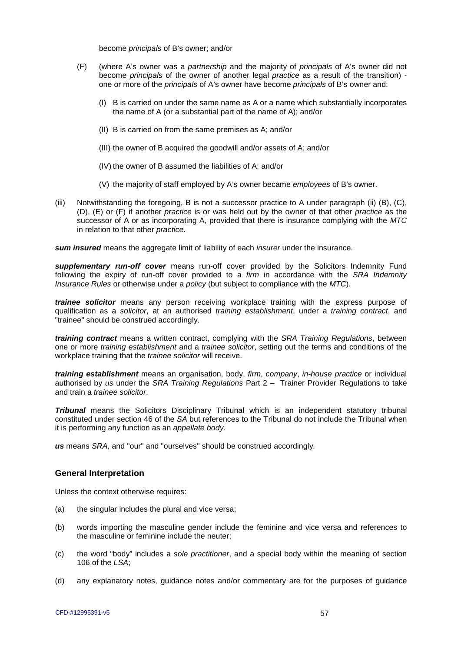become *principals* of B's owner; and/or

- (F) (where A's owner was a *partnership* and the majority of *principals* of A's owner did not become *principals* of the owner of another legal *practice* as a result of the transition) one or more of the *principals* of A's owner have become *principals* of B's owner and:
	- (I) B is carried on under the same name as A or a name which substantially incorporates the name of A (or a substantial part of the name of A); and/or
	- (II) B is carried on from the same premises as A; and/or
	- (III) the owner of B acquired the goodwill and/or assets of A; and/or
	- (IV) the owner of B assumed the liabilities of A; and/or
	- (V) the majority of staff employed by A's owner became *employees* of B's owner.
- (iii) Notwithstanding the foregoing, B is not a successor practice to A under paragraph (ii) (B), (C), (D), (E) or (F) if another *practice* is or was held out by the owner of that other *practice* as the successor of A or as incorporating A, provided that there is insurance complying with the *MTC* in relation to that other *practice*.

*sum insured* means the aggregate limit of liability of each *insurer* under the insurance.

*supplementary run-off cover* means run-off cover provided by the Solicitors Indemnity Fund following the expiry of run-off cover provided to a *firm* in accordance with the *SRA Indemnity Insurance Rules* or otherwise under a *policy* (but subject to compliance with the *MTC*).

*trainee solicitor* means any person receiving workplace training with the express purpose of qualification as a *solicitor*, at an authorised *training establishment*, under a *training contract*, and "trainee" should be construed accordingly.

*training contract* means a written contract, complying with the *SRA Training Regulations*, between one or more *training establishment* and a *trainee solicitor*, setting out the terms and conditions of the workplace training that the *trainee solicitor* will receive.

*training establishment* means an organisation, body, *firm*, *company*, *in-house practice* or individual authorised by *us* under the *SRA Training Regulations* Part 2 – Trainer Provider Regulations to take and train a *trainee solicitor*.

**Tribunal** means the Solicitors Disciplinary Tribunal which is an independent statutory tribunal constituted under section 46 of the *SA* but references to the Tribunal do not include the Tribunal when it is performing any function as an *appellate body.* 

*us* means *SRA*, and "our" and "ourselves" should be construed accordingly*.*

#### **General Interpretation**

Unless the context otherwise requires:

- (a) the singular includes the plural and vice versa;
- (b) words importing the masculine gender include the feminine and vice versa and references to the masculine or feminine include the neuter;
- (c) the word "body" includes a *sole practitioner*, and a special body within the meaning of section 106 of the *LSA*;
- (d) any explanatory notes, guidance notes and/or commentary are for the purposes of guidance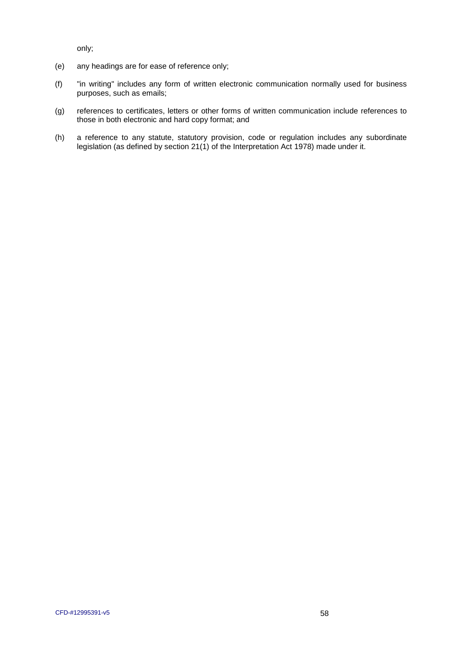only;

- (e) any headings are for ease of reference only;
- (f) "in writing" includes any form of written electronic communication normally used for business purposes, such as emails;
- (g) references to certificates, letters or other forms of written communication include references to those in both electronic and hard copy format; and
- (h) a reference to any statute, statutory provision, code or regulation includes any subordinate legislation (as defined by section 21(1) of the Interpretation Act 1978) made under it.